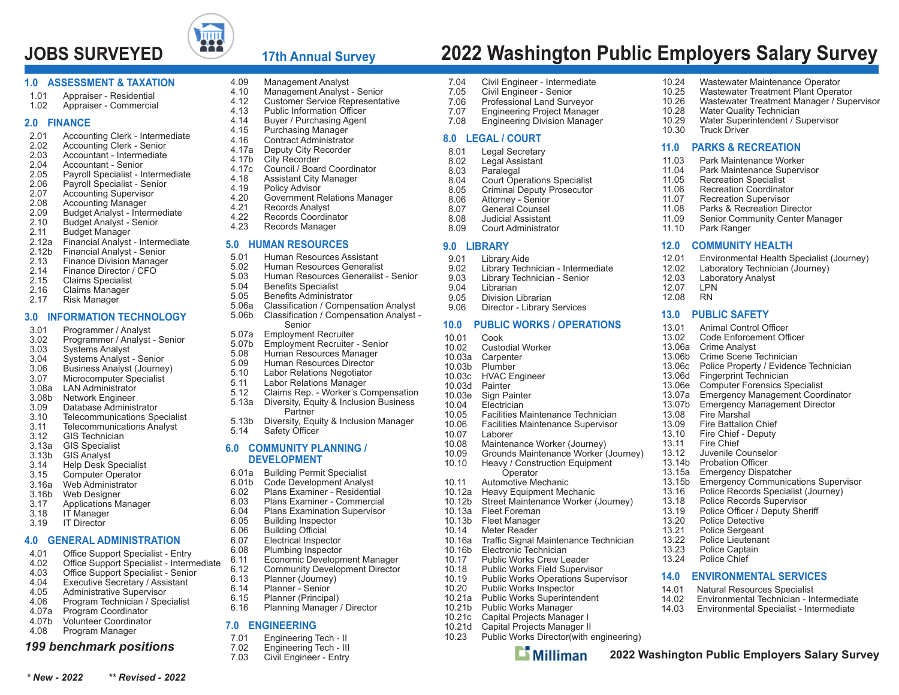

# **17th Annual Survey**

4.17c Council / Board Coordinator

4.20 Government Relations Manager<br>4.21 Records Analyst

Records Coordinator

Benefits Administrator 5.06a Classification / Compensation Analyst 5.06b Classification / Compensation Analyst -

5.07b Employment Recruiter - Senior<br>5.08 Human Resources Manager 5.08 Human Resources Manager<br>5.09 Human Resources Director Human Resources Director 5.10 Labor Relations Negotiator 5.11 Labor Relations Manager<br>5.12 Claims Rep. - Worker's Co

 5.12 Claims Rep. - Worker's Compensation Diversity, Equity & Inclusion Business

5.13b Diversity, Equity & Inclusion Manager

Economic Development Manager 6.12 Community Development Director<br>6.13 Planner (Journey)

Planning Manager / Director

Senior5.07a Employment Recruiter

**Partner** 

**6.0 COMMUNITY PLANNING / DEVELOPMENT** 6.01a Building Permit Specialist 6.01b Code Development Analyst<br>6.02 Plans Examiner - Residenti 6.02 Plans Examiner - Residential 6.03 Plans Examiner - Commercial6.04 Plans Examination Supervisor

5.14 Safety Officer

4.09 Management Analyst<br>4.10 Management Analyst 4.10 Management Analyst - Senior 4.12 Customer Service Representative<br>4.13 Public Information Officer 4.13 Public Information Officer 4.14 Buyer / Purchasing Agent 4.15 Purchasing Manager<br>4.16 Contract Administrato 4.16 Contract Administrator 4.17a Deputy City Recorder<br>4.17b City Recorder 4.17b City Recorder<br>4.17c Council / Boar

4.18 Assistant City Manager<br>4.19 Policy Advisor 4.19 Policy Advisor<br>4.20 Government R

4.21 Records Analyst<br>4.22 Records Coordin

 4.23 Records Manager **5.0 HUMAN RESOURCES** 5.01 Human Resources Assistant 5.02 Human Resources Generalist5.03 Human Resources Generalist - Senior

5.04 Benefits Specialist<br>5.05 Benefits Administra

#### **1.0 ASSESSMENT & TAXATION**

- 1.01 Appraiser Residential
- 1.02 Appraiser Commercial

#### **2.0 FINANCE**

- 2.01 Accounting Clerk Intermediate<br>2.02 Accounting Clerk Senior
- Accounting Clerk Senior
- 2.03 Accountant Intermediate
- 2.04 Accountant Senior
- 2.05 Payroll Specialist Intermediate<br>2.06 Payroll Specialist Senior
- 2.06 Payroll Specialist Senior<br>2.07 Accounting Supervisor
- 2.07 Accounting Supervisor<br>2.08 Accounting Manager
- Accounting Manager
- 2.09 Budget Analyst Intermediate<br>2.10 Budget Analyst Senior
- 2.10 Budget Analyst Senior
- 2.11 Budget Manager
- 2.12a Financial Analyst Intermediate<br>2.12b Financial Analyst Senior
- 2.12b Financial Analyst Senior
- **Finance Division Manager**
- 2.14 Finance Director / CFO
- 2.15 Claims Specialist
- 2.16 Claims Manager<br>2.17 Risk Manager
- Risk Manager

#### **3.0 INFORMATION TECHNOLOGY**

- 3.01 Programmer / Analyst<br>3.02 Programmer / Analyst
- 3.02 Programmer / Analyst Senior<br>3.03 Systems Analyst
- 3.03 Systems Analyst<br>3.04 Systems Analyst
- 3.04 Systems Analyst Senior
- 3.06 Business Analyst (Journey)
- 3.07 Microcomputer Specialist<br>3.08a LAN Administrator
- LAN Administrator
- 3.08b Network Engineer
- 3.09 Database Administrator
- 3.10 Telecommunications Specialist
- 3.11 Telecommunications Analyst<br>3.12 GIS Technician GIS Technician
- 
- 3.13a GIS Specialist
- 3.13b GIS Analyst **Help Desk Specialist**
- 3.15 Computer Operator
- 3.16a Web Administrator
- 
- 3.16b Web Designer<br>3.17 Applications M
- 3.17 Applications Manager
- 3.18 IT Manager<br>3.19 IT Director IT Director

#### **4.0 GENERAL ADMINISTRATION**

- $4.01$ Office Support Specialist - Entry
- Office Support Specialist Intermediate 4.02
- Office Support Specialist Senior 4.03
- 4.04 Executive Secretary / Assistant
- 4.05 Administrative Supervisor
- 4.06 Program Technician / Specialist
- 4.07a Program Coordinator
- 4.07b Volunteer Coordinator
- 4.08 Program Manager

#### *199 benchmark positions*

*\* New - 2022 \*\* Revised - 2022*

- **7.0 ENGINEERING** 7.01 Engineering Tech - II<br>7.02 Engineering Tech - III
	- 7.02 Engineering Tech III<br>7.03 Civil Engineer Entry

6.05 Building Inspector<br>6.06 Building Official 6.06 Building Official 6.07 Electrical Inspector 6.08 Plumbing Inspector

 6.13 Planner (Journey) Planner - Senior 6.15 Planner (Principal)

Civil Engineer - Entry

**JOBS SURVEYED 2022 Washington Public Employers Salary Survey**

10.24 Wastewater Maintenance Operator<br>10.25 Wastewater Treatment Plant Opera 10.25 Wastewater Treatment Plant Operator<br>10.26 Wastewater Treatment Manager / Sup 10.26 Wastewater Treatment Manager / Supervisor

Recreation Coordinator

Crime Scene Technician 13.06c Police Property / Evidence Technician

13.15b Emergency Communications Supervisor 13.16 Police Records Specialist (Journey)<br>13.18 Police Records Supervisor Police Records Supervisor 13.19 Police Officer / Deputy Sheriff

Parks & Recreation Director 11.09 Senior Community Center Manager

12.01 Environmental Health Specialist (Journey)<br>12.02 Laboratory Technician (Journey) 12.02 Laboratory Technician (Journey)<br>12.03 Laboratory Analyst Laboratory Analyst<br>LPN

10.28 Water Quality Technician<br>10.29 Water Superintendent / S 10.29 Water Superintendent / Supervisor

Truck Driver **11.0 PARKS & RECREATION**11.03 Park Maintenance Worker 11.04 Park Maintenance Supervisor 11.05 Recreation Specialist<br>11.06 Recreation Coordinate

11.07 Recreation Supervisor<br>11.08 Parks & Recreation Dire

**12.0 COMMUNITY HEALTH**

11.10 Park Ranger

**RN** 

**13.0 PUBLIC SAFETY**13.01 Animal Control Officer 13.02 Code Enforcement Officer

13.06a Crime Analyst<br>13.06b Crime Scene

13.06d Fingerprint Technician<br>13.06e Computer Forensics S 13.06e Computer Forensics Specialist<br>13.07a Emergency Management Coor 13.07a Emergency Management Coordinator<br>13.07b Emergency Management Director 13.07b Emergency Management Director<br>13.08 Fire Marshal

Fire Marshal 13.09 Fire Battalion Chief13.10 Fire Chief - Deputy<br>13.11 Fire Chief Fire Chief 13.12 Juvenile Counselor13.14b Probation Officer 13.15a Emergency Dispatcher

 13.20 Police Detective 13.21 Police Sergeant 13.22 Police Lieutenant13.23 Police Captain<br>13.24 Police Chief Police Chief

12.07

12.08

**2022 Washington Public Employers Salary Survey**

**14.0 ENVIRONMENTAL SERVICES**14.01 Natural Resources Specialist

14.02 Environmental Technician - Intermediate14.03 Environmental Specialist - Intermediate

- 7.04 Civil Engineer Intermediate<br>7.05 Civil Engineer Senior
- 7.05 Civil Engineer Senior
- 7.06 Professional Land Surveyor **Engineering Project Manager**
- 7.08 Engineering Division Manager
- 

#### **8.0 LEGAL / COURT**

- 8.01 Legal Secretary<br>8.02 Legal Assistant
- 8.02 Legal Assistant<br>8.03 Paralegal
- 8.03 Paralegal<br>8.04 Court Ope
- 8.04 Court Operations Specialist<br>8.05 Criminal Deputy Prosecutor
- 8.05 Criminal Deputy Prosecutor<br>8.06 Attorney Senior
- 8.06 Attorney Senior
- General Counsel
- 8.08 Judicial Assistant
- 8.09 Court Administrator

#### **9.0 LIBRARY**

- 9.01 Library Aide<br>9.02 Library Tech
- 9.02 Library Technician Intermediate<br>9.03 Library Technician Senior
- 9.03 Library Technician Senior<br>9.04 Librarian
- Librarian
- 9.05 Division Librarian
- 9.06 Director Library Services

#### **10.0 PUBLIC WORKS / OPERATIONS**

- 10.01 Cook
- 10.02 Custodial Worker
- 10.03a Carpenter
- Plumber
- 10.03c HVAC Engineer
- 10.03d Painter
- 10.03e Sign Painter<br>10.04 Electrician **Electrician** 
	-
	- 10.05 Facilities Maintenance Technician
- 10.06 Facilities Maintenance Supervisor<br>10.07 Laborer
- Laborer
- 10.08 Maintenance Worker (Journey)
- 10.09 Grounds Maintenance Worker (Journey)<br>10.10 Heavy / Construction Equipment Heavy / Construction Equipment Operator
- 10.11 Automotive Mechanic
- 10.12a Heavy Equipment Mechanic

10.16b Electronic Technician

 10.17 Public Works Crew Leader 10.18 Public Works Field Supervisor<br>10.19 Public Works Operations Supe 10.19 Public Works Operations Supervisor<br>10.20 Public Works Inspector Public Works Inspector 10.21a Public Works Superintendent 10.21b Public Works Manager 10.21c Capital Projects Manager I 10.21d Capital Projects Manager II<br>10.23 Public Works Director(with 6

10.13a Fleet Foreman 10.13b Fleet Manager 10.14 Meter Reader

10.16a

10.12b Street Maintenance Worker (Journey)

Traffic Signal Maintenance Technician

Public Works Director(with engineering)

 $\mathbf{L}$  Milliman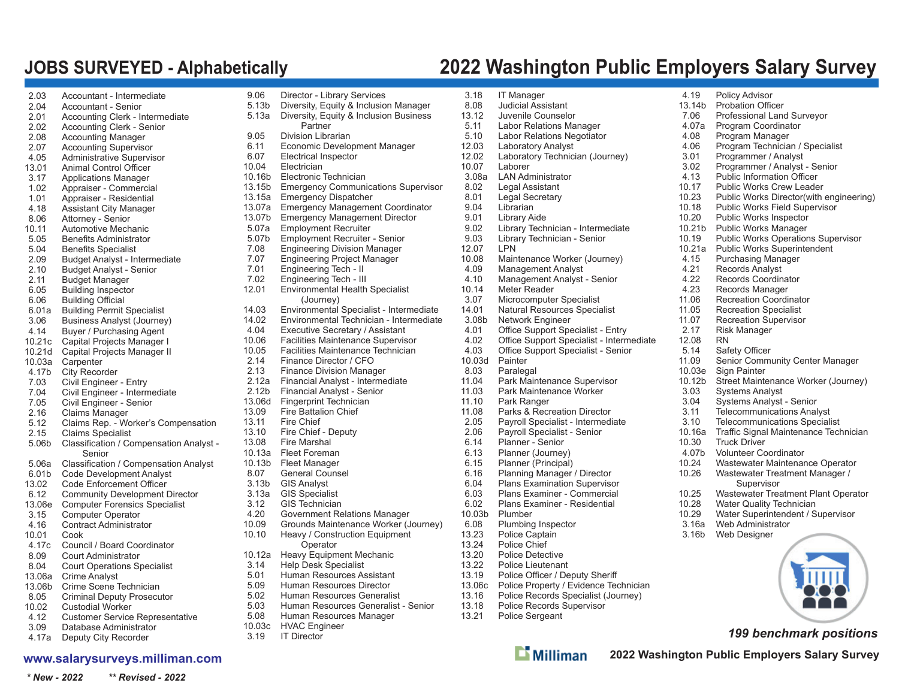# **JOBS SURVEYED - Alphabetically 2022 Washington Public Employers Salary Survey**

| 2.03   | Accountant - Intermediate               |
|--------|-----------------------------------------|
| 2.04   | <b>Accountant - Senior</b>              |
| 2.01   | Accounting Clerk - Intermediate         |
| 2.02   | <b>Accounting Clerk - Senior</b>        |
| 2.08   | <b>Accounting Manager</b>               |
| 2.07   | <b>Accounting Supervisor</b>            |
| 4.05   | Administrative Supervisor               |
| 13.01  | <b>Animal Control Officer</b>           |
| 3.17   | <b>Applications Manager</b>             |
| 1.02   | Appraiser - Commercial                  |
| 1.01   | Appraiser - Residential                 |
| 4.18   | Assistant City Manager                  |
| 8.06   | Attorney - Senior                       |
| 10.11  | Automotive Mechanic                     |
| 5.05   | <b>Benefits Administrator</b>           |
| 5.04   | <b>Benefits Specialist</b>              |
| 2.09   | Budget Analyst - Intermediate           |
| 2.10   | <b>Budget Analyst - Senior</b>          |
| 2.11   | <b>Budget Manager</b>                   |
| 6.05   | <b>Building Inspector</b>               |
| 6.06   | <b>Building Official</b>                |
| 6.01a  | <b>Building Permit Specialist</b>       |
| 3.06   | <b>Business Analyst (Journey)</b>       |
| 4.14   | Buyer / Purchasing Agent                |
| 10.21c | Capital Projects Manager I              |
| 10.21d | Capital Projects Manager II             |
| 10.03a | Carpenter                               |
| 4.17b  | <b>City Recorder</b>                    |
| 7.03   | Civil Engineer - Entry                  |
| 7.04   | Civil Engineer - Intermediate           |
| 7.05   | Civil Engineer - Senior                 |
| 2.16   | Claims Manager                          |
| 5.12   | Claims Rep. - Worker's Compensation     |
| 2.15   | <b>Claims Specialist</b>                |
| 5.06b  | Classification / Compensation Analyst - |
|        | Senior                                  |
| 5.06a  | Classification / Compensation Analyst   |
| 6.01b  | Code Development Analyst                |
| 13.02  | <b>Code Enforcement Officer</b>         |
| 6.12   | <b>Community Development Director</b>   |
| 13.06e | <b>Computer Forensics Specialist</b>    |
| 3.15   | <b>Computer Operator</b>                |
| 4.16   | <b>Contract Administrator</b>           |
| 10.01  | Cook                                    |
| 4.17c  | Council / Board Coordinator             |
| 8.09   | <b>Court Administrator</b>              |
| 8.04   | <b>Court Operations Specialist</b>      |
| 13.06a | <b>Crime Analyst</b>                    |
| 13.06b | Crime Scene Technician                  |
| 8.05   | <b>Criminal Deputy Prosecutor</b>       |
| 10.02  | <b>Custodial Worker</b>                 |
| 4.12   | <b>Customer Service Representative</b>  |
| 3.09   | Database Administrator                  |

4.17a Deputy City Recorder

#### **www.salarysurveys.milliman.com**

| 9.06          | Director - Library Services                | 3.1  |
|---------------|--------------------------------------------|------|
| 5.13b         | Diversity, Equity & Inclusion Manager      | 8.0  |
| 5.13a         | Diversity, Equity & Inclusion Business     | 13.  |
|               | Partner                                    | 5.1  |
| 9.05          | Division Librarian                         | 5.1  |
| 6.11          | Economic Development Manager               | 12.1 |
| 6.07          | Electrical Inspector                       | 12.1 |
| 10.04         | Electrician                                | 10.1 |
| 10.16b        | Electronic Technician                      | 3.0  |
| 13.15b        | <b>Emergency Communications Supervisor</b> | 8.0  |
| 13.15a        | <b>Emergency Dispatcher</b>                | 8.0  |
| 13.07a        |                                            | 9(   |
| 13.07b        | <b>Emergency Management Coordinator</b>    | 9(   |
|               | <b>Emergency Management Director</b>       |      |
| 5.07a         | <b>Employment Recruiter</b>                | 9.0  |
| 5.07b         | <b>Employment Recruiter - Senior</b>       | 9.0  |
| 7.08          | <b>Engineering Division Manager</b>        | 12.1 |
| 7.07          | Engineering Project Manager                | 10.1 |
| 7.01          | Engineering Tech - II                      | 4.0  |
| 7.02          | Engineering Tech - III                     | 4.1  |
| 12.01         | Environmental Health Specialist            | 10.  |
|               | (Journey)                                  | 3.(  |
| 14.03         | Environmental Specialist - Intermediate    | 14.  |
| 14.02         | Environmental Technician - Intermediate    | 3(   |
| 4.04          | Executive Secretary / Assistant            | 4.(  |
| 10.06         | Facilities Maintenance Supervisor          | 4.0  |
| 10.05         | Facilities Maintenance Technician          | 4.(  |
| 2.14          | Finance Director / CFO                     | 10.1 |
| 2.13          | <b>Finance Division Manager</b>            | 8.0  |
| 2.12a         | Financial Analyst - Intermediate           | 11.  |
| 2.12b         | Financial Analyst - Senior                 | 11.0 |
| 13.06d        | <b>Fingerprint Technician</b>              | 11.1 |
| 13.09         | <b>Fire Battalion Chief</b>                | 11.0 |
| 13.11         | Fire Chief                                 | 2.0  |
| 13.10         | Fire Chief - Deputy                        | 2(   |
| 13.08         | Fire Marshal                               | 6.1  |
| 10.13a        | <b>Fleet Foreman</b>                       | 6.1  |
| 10.13b        | <b>Fleet Manager</b>                       | 6.1  |
| 8.07          | <b>General Counsel</b>                     | 6.1  |
| 3.13b         | <b>GIS Analyst</b>                         | 6.0  |
|               |                                            |      |
| 3.13a<br>3.12 | <b>GIS Specialist</b>                      | 6.(  |
|               | <b>GIS Technician</b>                      | 6(   |
| 4.20          | Government Relations Manager               | 10.  |
| 10.09         | Grounds Maintenance Worker (Journey)       | 6(   |
| 10.10         | Heavy / Construction Equipment             | 13.3 |
|               | Operator                                   | 13.3 |
| 10.12a        | Heavy Equipment Mechanic                   | 13.3 |
| 3.14          | <b>Help Desk Specialist</b>                | 13.3 |
| 5.01          | Human Resources Assistant                  | 13.  |
| 5.09          | Human Resources Director                   | 13.  |
| 5.02          | Human Resources Generalist                 | 13.  |
| 5.03          | Human Resources Generalist - Senior        | 13.  |
| 5.08          | Human Resources Manager                    | 13.  |
| 10.03c        | <b>HVAC Engineer</b>                       |      |
| 3 1 9         | IT Director                                |      |

| 3.18           | IT Manager                               | $\overline{4}$ |
|----------------|------------------------------------------|----------------|
| 8.08           | <b>Judicial Assistant</b>                | 13             |
| 13.12          | Juvenile Counselor                       | $\overline{I}$ |
| 5.11           | Labor Relations Manager                  | $\overline{4}$ |
| 5.10           | Labor Relations Negotiator               | 4              |
| 12.03          | <b>Laboratory Analyst</b>                | $\overline{4}$ |
| 12.02          | Laboratory Technician (Journey)          | 3              |
| 10.07          | Laborer                                  | 3              |
| 3.08a          | <b>LAN Administrator</b>                 | 4              |
| 8.02           | Legal Assistant                          | 10             |
| 8.01           | Legal Secretary                          | 10             |
| 9.04           | Librarian                                | 10             |
| 9.01           | Library Aide                             | 10             |
| 9.02           | Library Technician - Intermediate        | 10             |
| 9.03           | Library Technician - Senior              | 10             |
| 12.07          | LPN                                      | 10             |
| 10.08          | Maintenance Worker (Journey)             | $\overline{4}$ |
| 4.09           | <b>Management Analyst</b>                | $\overline{4}$ |
| 4.10           | Management Analyst - Senior              | $\overline{4}$ |
| 10.14          | Meter Reader                             | $\overline{4}$ |
| 3.07           | Microcomputer Specialist                 | 11             |
| 14.01          | Natural Resources Specialist             | 11             |
| 3.08b          | Network Engineer                         | 11             |
| 4.01           | Office Support Specialist - Entry        | 2              |
| 4.02           | Office Support Specialist - Intermediate | 12             |
| 4.03           | Office Support Specialist - Senior       | 5<br>11        |
| 10.03d<br>8.03 | Painter                                  | 10             |
| 11.04          | Paralegal<br>Park Maintenance Supervisor | 10             |
| 11.03          | Park Maintenance Worker                  | 3              |
| 11.10          | Park Ranger                              | 3              |
| 11.08          | Parks & Recreation Director              | 3              |
| 2.05           | Payroll Specialist - Intermediate        | 3              |
| 2.06           | Payroll Specialist - Senior              | 10             |
| 6.14           | Planner - Senior                         | 10             |
| 6.13           | Planner (Journey)                        | 4              |
| 6.15           | Planner (Principal)                      | 10             |
| 6.16           | Planning Manager / Director              | 10             |
| 6.04           | <b>Plans Examination Supervisor</b>      |                |
| 6.03           | Plans Examiner - Commercial              | 10             |
| 6.02           | Plans Examiner - Residential             | 10             |
| 10.03b         | Plumber                                  | 10             |
| 6.08           | Plumbing Inspector                       | 3              |
| 13.23          | Police Captain                           | 3              |
| 13.24          | Police Chief                             |                |
| 13.20          | <b>Police Detective</b>                  |                |
| 13.22          | <b>Police Lieutenant</b>                 |                |
| 13.19          | Police Officer / Deputy Sheriff          |                |
| 13.06c         | Police Property / Evidence Technician    |                |
| 12.1C          | Dolian Poperdo Concidiat (Internati)     |                |

- 13.16 Police Records Specialist (Journey)
- 13.18 Police Records Supervisor
- 21 Police Sergeant
	- $\mathbf{L}$  Milliman

 4.19 Policy Advisor 13.14b Probation Officer 7.06 Professional Land Surveyor 4.07a Program Coordinator 4.08 Program Manager 4.06 Program Technician / Specialist 3.01 Programmer / Analyst 3.02 Programmer / Analyst - Senior 4.13 Public Information Officer 1.17 Public Works Crew Leader 1.23 Public Works Director(with engineering) 10.18 Public Works Field Supervisor 10.20 Public Works Inspector 1.21b Public Works Manager 1.19 Public Works Operations Supervisor 1.21a Public Works Superintendent 4.15 Purchasing Manager 4.21 Records Analyst 4.22 Records Coordinator 4.23 Records Manager 11.06 Recreation Coordinator 11.05 Recreation Specialist .07 Recreation Supervisor 2.17 Risk Manager 12.08 RN5.14 Safety Officer 11.09 Senior Community Center Manager 10.03e Sign Painter 10.12b Street Maintenance Worker (Journey) 3.03 Systems Analyst 3.04 Systems Analyst - Senior 3.11 Telecommunications Analyst 3.10 Telecommunications Specialist 0.16a affic Signal Maintenance Technician 30 Truck Driver 4.07b Volunteer Coordinator1.24 Wastewater Maintenance Operator 126 Wastewater Treatment Manager / Supervisor 10.25 Wastewater Treatment Plant Operator .28 Water Quality Technician 129 Water Superintendent / Supervisor 3.16a Web Administrator3.16b Web Designer



*199 benchmark positions*

**2022 Washington Public Employers Salary Survey**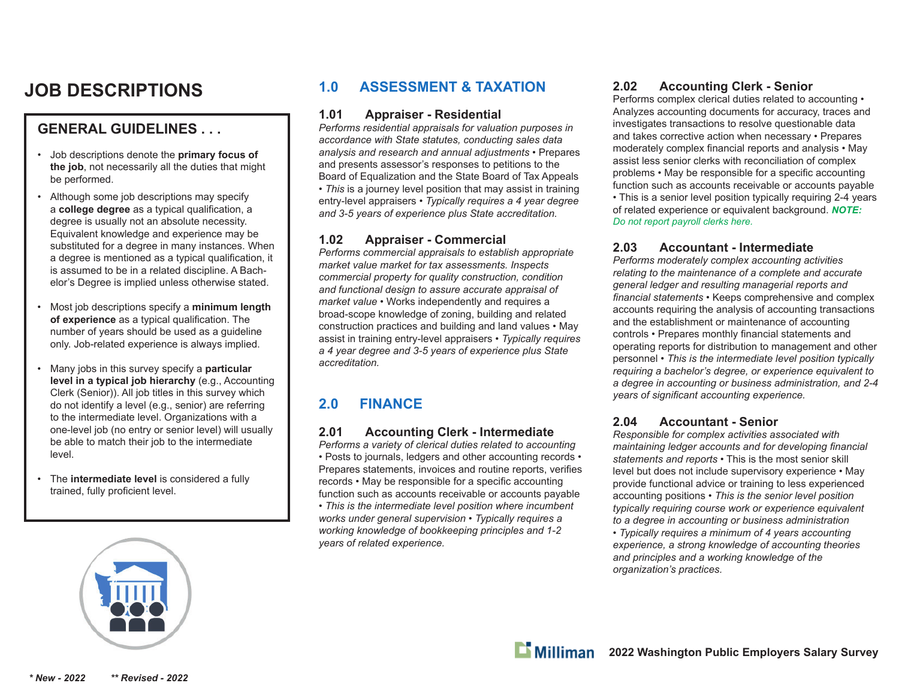# **JOB DESCRIPTIONS**

# **GENERAL GUIDELINES . . .**

- Job descriptions denote the **primary focus of the job**, not necessarily all the duties that might be performed.
- Although some job descriptions may specify a **college degree** as a typical qualification, a degree is usually not an absolute necessity. Equivalent knowledge and experience may be substituted for a degree in many instances. When a degree is mentioned as a typical qualification, it is assumed to be in a related discipline. A Bachelor's Degree is implied unless otherwise stated.
- Most job descriptions specify a **minimum length**  of experience as a typical qualification. The number of years should be used as a guideline only. Job-related experience is always implied.
- Many jobs in this survey specify a **particular level in a typical job hierarchy** (e.g., Accounting Clerk (Senior)). All job titles in this survey which do not identify a level (e.g., senior) are referring to the intermediate level. Organizations with a one-level job (no entry or senior level) will usually be able to match their job to the intermediate level.
- The **intermediate level** is considered a fully trained, fully proficient level.

# **1.0 ASSESSMENT & TAXATION**

#### **1.01 Appraiser - Residential**

*Performs residential appraisals for valuation purposes in accordance with State statutes, conducting sales data analysis and research and annual adjustments* • Prepares and presents assessor's responses to petitions to the Board of Equalization and the State Board of Tax Appeals *• This* is a journey level position that may assist in training entry-level appraisers *• Typically requires a 4 year degree and 3-5 years of experience plus State accreditation.* 

#### **1.02 Appraiser - Commercial**

*Performs commercial appraisals to establish appropriate market value market for tax assessments. Inspects commercial property for quality construction, condition and functional design to assure accurate appraisal of market value* • Works independently and requires a broad-scope knowledge of zoning, building and related construction practices and building and land values • May assist in training entry-level appraisers • *Typically requires a 4 year degree and 3-5 years of experience plus State accreditation.*

# **2.0 FINANCE**

#### **2.01 Accounting Clerk - Intermediate**

*Performs a variety of clerical duties related to accounting* • Posts to journals, ledgers and other accounting records • Prepares statements, invoices and routine reports, verifies records • May be responsible for a specific accounting function such as accounts receivable or accounts payable • *This is the intermediate level position where incumbent works under general supervision • Typically requires a working knowledge of bookkeeping principles and 1-2 years of related experience.* 

#### **2.02 Accounting Clerk - Senior**

Performs complex clerical duties related to accounting • Analyzes accounting documents for accuracy, traces and investigates transactions to resolve questionable data and takes corrective action when necessary • Prepares moderately complex financial reports and analysis • May assist less senior clerks with reconciliation of complex problems • May be responsible for a specific accounting function such as accounts receivable or accounts payable • This is a senior level position typically requiring 2-4 years of related experience or equivalent background. *NOTE: Do not report payroll clerks here.*

#### **2.03 Accountant - Intermediate**

*Performs moderately complex accounting activities relating to the maintenance of a complete and accurate general ledger and resulting managerial reports and*  financial statements • Keeps comprehensive and complex accounts requiring the analysis of accounting transactions and the establishment or maintenance of accounting controls • Prepares monthly financial statements and operating reports for distribution to management and other personnel • *This is the intermediate level position typically requiring a bachelor's degree, or experience equivalent to a degree in accounting or business administration, and 2-4 vears of significant accounting experience.* 

#### **2.04 Accountant - Senior**

*Responsible for complex activities associated with maintaining ledger accounts and for developing financial statements and reports* • This is the most senior skill level but does not include supervisory experience • May provide functional advice or training to less experienced accounting positions • *This is the senior level position typically requiring course work or experience equivalent to a degree in accounting or business administration* 

*• Typically requires a minimum of 4 years accounting experience, a strong knowledge of accounting theories and principles and a working knowledge of the organization's practices.*

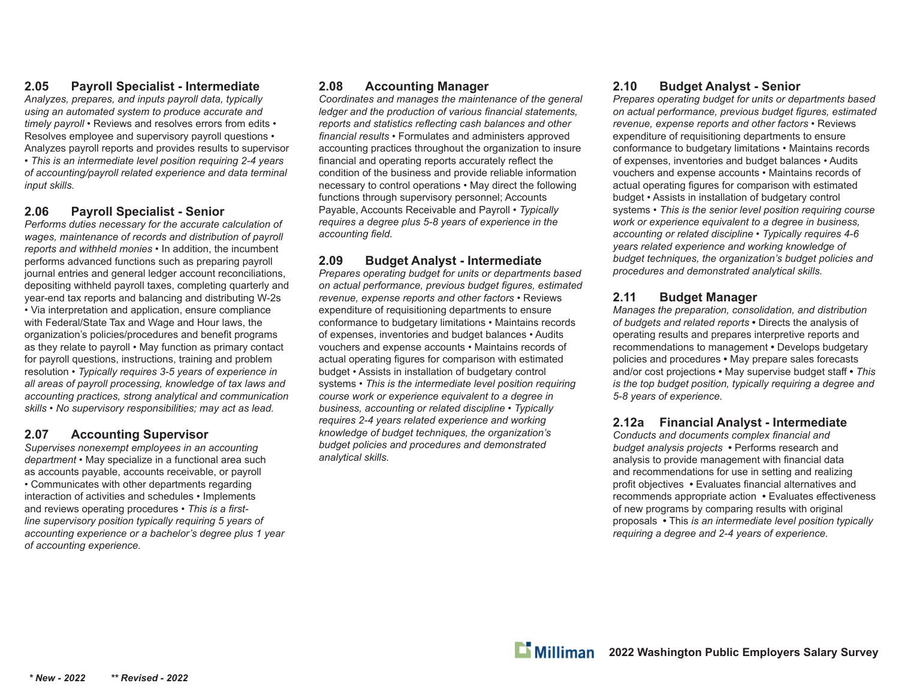## **2.05 Payroll Specialist - Intermediate**

*Analyzes, prepares, and inputs payroll data, typically using an automated system to produce accurate and timely payroll* • Reviews and resolves errors from edits • Resolves employee and supervisory payroll questions • Analyzes payroll reports and provides results to supervisor • *This is an intermediate level position requiring 2-4 years of accounting/payroll related experience and data terminal input skills.*

#### **2.06 Payroll Specialist - Senior**

*Performs duties necessary for the accurate calculation of wages, maintenance of records and distribution of payroll reports and withheld monies* • In addition, the incumbent performs advanced functions such as preparing payroll journal entries and general ledger account reconciliations, depositing withheld payroll taxes, completing quarterly and year-end tax reports and balancing and distributing W-2s • Via interpretation and application, ensure compliance with Federal/State Tax and Wage and Hour laws, the organization's policies/procedures and benefit programs as they relate to payroll • May function as primary contact for payroll questions, instructions, training and problem resolution • *Typically requires 3-5 years of experience in all areas of payroll processing, knowledge of tax laws and accounting practices, strong analytical and communication skills • No supervisory responsibilities; may act as lead.*

# **2.07 Accounting Supervisor**

*Supervises nonexempt employees in an accounting department* • May specialize in a functional area such as accounts payable, accounts receivable, or payroll • Communicates with other departments regarding interaction of activities and schedules • Implements and reviews operating procedures • This is a first*line supervisory position typically requiring 5 years of accounting experience or a bachelor's degree plus 1 year of accounting experience.*

#### **2.08 Accounting Manager**

*Coordinates and manages the maintenance of the general ledger and the production of various financial statements, reports and statistics reflecting cash balances and other* financial results • Formulates and administers approved accounting practices throughout the organization to insure financial and operating reports accurately reflect the condition of the business and provide reliable information necessary to control operations • May direct the following functions through supervisory personnel; Accounts Payable, Accounts Receivable and Payroll • *Typically requires a degree plus 5-8 years of experience in the*  accounting field.

# **2.09 Budget Analyst - Intermediate**

*Prepares operating budget for units or departments based*  on actual performance, previous budget figures, estimated *revenue, expense reports and other factors* • Reviews expenditure of requisitioning departments to ensure conformance to budgetary limitations • Maintains records of expenses, inventories and budget balances • Audits vouchers and expense accounts • Maintains records of actual operating figures for comparison with estimated budget • Assists in installation of budgetary control systems • *This is the intermediate level position requiring course work or experience equivalent to a degree in business, accounting or related discipline • Typically requires 2-4 years related experience and working knowledge of budget techniques, the organization's budget policies and procedures and demonstrated analytical skills.*

#### **2.10 Budget Analyst - Senior**

*Prepares operating budget for units or departments based on actual performance, previous budget fi gures, estimated revenue, expense reports and other factors* • Reviews expenditure of requisitioning departments to ensure conformance to budgetary limitations • Maintains records of expenses, inventories and budget balances • Audits vouchers and expense accounts • Maintains records of actual operating figures for comparison with estimated budget • Assists in installation of budgetary control systems • *This is the senior level position requiring course work or experience equivalent to a degree in business, accounting or related discipline • Typically requires 4-6 years related experience and working knowledge of budget techniques, the organization's budget policies and procedures and demonstrated analytical skills.*

# **2.11 Budget Manager**

*Manages the preparation, consolidation, and distribution of budgets and related reports* **•** Directs the analysis of operating results and prepares interpretive reports and recommendations to management **•** Develops budgetary policies and procedures **•** May prepare sales forecasts and/or cost projections **•** May supervise budget staff **•** *This is the top budget position, typically requiring a degree and 5-8 years of experience.*

# **2.12a Financial Analyst - Intermediate**

*Conducts and documents complex fi nancial and budget analysis projects* **•** Performs research and analysis to provide management with financial data and recommendations for use in setting and realizing profit objectives • Evaluates financial alternatives and recommends appropriate action • Evaluates effectiveness of new programs by comparing results with original proposals **•** This *is an intermediate level position typically requiring a degree and 2-4 years of experience.*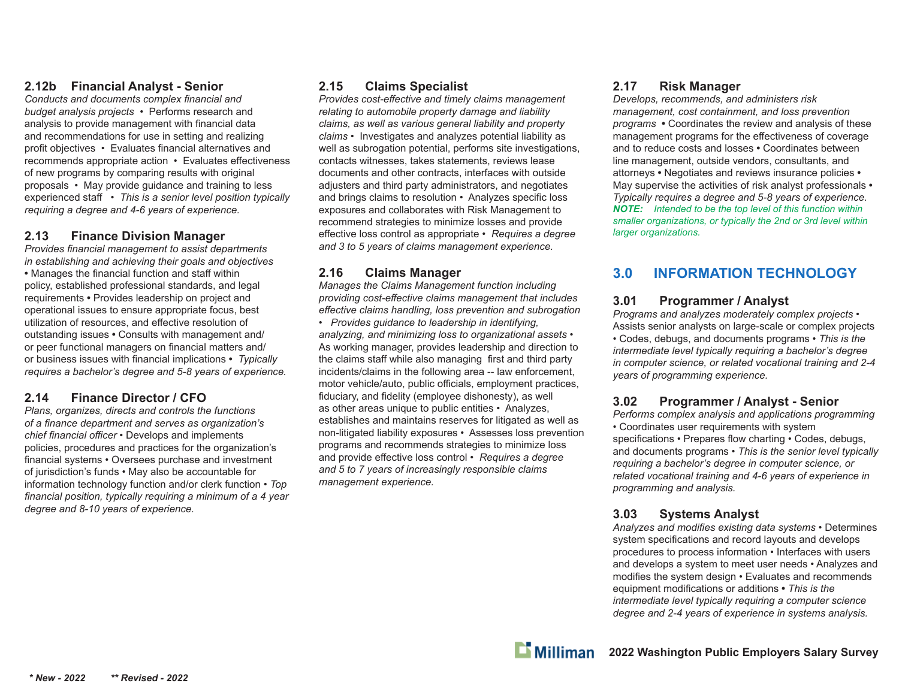#### **2.12b Financial Analyst - Senior**

**Conducts and documents complex financial and** *budget analysis projects* • Performs research and analysis to provide management with financial data and recommendations for use in setting and realizing profit objectives • Evaluates financial alternatives and recommends appropriate action • Evaluates e ff ectiveness of new programs by comparing results with original proposals • May provide guidance and training to less experienced sta ff • *This is a senior level position typically requiring a degree and 4-6 years of experience.*

#### **2.13 Finance Division Manager**

**Provides financial management to assist departments** *in establishing and achieving their goals and objectives* • Manages the financial function and staff within policy, established professional standards, and legal requirements **•** Provides leadership on project and operational issues to ensure appropriate focus, best utilization of resources, and effective resolution of outstanding issues **•** Consults with management and/ or peer functional managers on financial matters and/ or business issues with financial implications • *Typically requires a bachelor's degree and 5-8 years of experience.*

#### **2.14 Finance Director / CFO**

*Plans, organizes, directs and controls the functions of a fi nance department and serves as organization's chief fi nancial o ffi cer* • Develops and implements policies, procedures and practices for the organization's financial systems • Oversees purchase and investment of jurisdiction's funds • May also be accountable for information technology function and/or clerk function • *Top*  financial position, typically requiring a minimum of a 4 year *degree and 8-10 years of experience.*

#### **2.15 Claims Specialist**

*Provides cost-eff ective and timely claims management relating to automobile property damage and liability claims, as well as various general liability and property claims* • Investigates and analyzes potential liability as well as subrogation potential, performs site investigations, contacts witnesses, takes statements, reviews lease documents and other contracts, interfaces with outside adjusters and third party administrators, and negotiates and brings claims to resolution • Analyzes specific loss exposures and collaborates with Risk Management to recommend strategies to minimize losses and provide <sup>e</sup>ff ective loss control as appropriate • *Requires a degree and 3 to 5 years of claims management experience.*

#### **2.16 Claims Manager**

*Manages the Claims Management function including providing cost-e ff ective claims management that includes <sup>e</sup>ff ective claims handling, loss prevention and subrogation*

• *Provides guidance to leadership in identifying, analyzing, and minimizing loss to organizational assets* • As working manager, provides leadership and direction to the claims staff while also managing first and third party incidents/claims in the following area -- law enforcement, motor vehicle/auto, public o ffi cials, employment practices, fiduciary, and fidelity (employee dishonesty), as well as other areas unique to public entities • Analyzes, establishes and maintains reserves for litigated as well as non-litigated liability exposures • Assesses loss prevention programs and recommends strategies to minimize loss and provide e ff ective loss control • *Requires a degree and 5 to 7 years of increasingly responsible claims management experience.*

#### **2.17 Risk Manager**

*Develops, recommends, and administers risk management, cost containment, and loss prevention programs* **•** Coordinates the review and analysis of these management programs for the effectiveness of coverage and to reduce costs and losses **•** Coordinates between line management, outside vendors, consultants, and attorneys **•** Negotiates and reviews insurance policies **•**  May supervise the activities of risk analyst professionals **•**  *Typically requires a degree and 5-8 years of experience. NOTE: Intended to be the top level of this function within smaller organizations, or typically the 2nd or 3rd level within larger organizations.*

# **3.0 INFORMATION TECHNOLOGY**

#### **3.01 Programmer / Analyst**

*Programs and analyzes moderately complex projects* • Assists senior analysts on large-scale or complex projects • Codes, debugs, and documents programs • *This is the intermediate level typically requiring a bachelor's degree in computer science, or related vocational training and 2-4 years of programming experience.*

#### **3.02 Programmer / Analyst - Senior**

*Performs complex analysis and applications programming* • Coordinates user requirements with system specifications • Prepares flow charting • Codes, debugs, and documents programs • *This is the senior level typically requiring a bachelor's degree in computer science, or related vocational training and 4-6 years of experience in programming and analysis.*

#### **3.03 Systems Analyst**

Analyzes and modifies existing data systems • Determines system specifications and record layouts and develops procedures to process information • Interfaces with users and develops a system to meet user needs • Analyzes and modifies the system design • Evaluates and recommends equipment modifications or additions • This is the *intermediate level typically requiring a computer science degree and 2-4 years of experience in systems analysis.*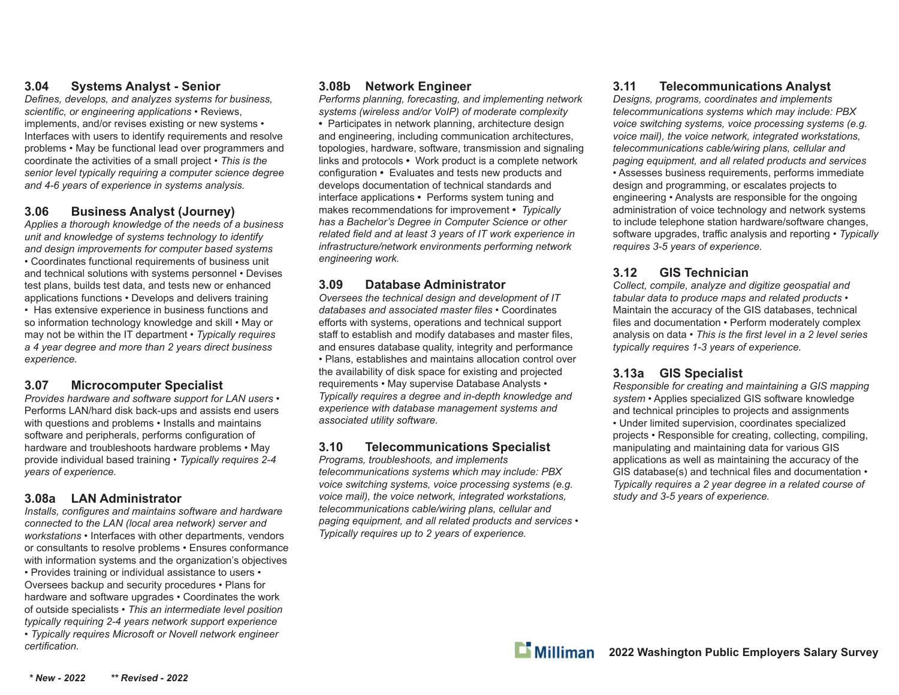#### **3.04 Systems Analyst - Senior**

*Defi nes, develops, and analyzes systems for business,*  scientific, or engineering applications • Reviews, implements, and/or revises existing or new systems • Interfaces with users to identify requirements and resolve problems • May be functional lead over programmers and coordinate the activities of a small project • *This is the senior level typically requiring a computer science degree and 4-6 years of experience in systems analysis.*

#### **3.06 Business Analyst (Journey)**

*Applies a thorough knowledge of the needs of a business unit and knowledge of systems technology to identify and design improvements for computer based systems* • Coordinates functional requirements of business unit and technical solutions with systems personnel • Devises test plans, builds test data, and tests new or enhanced applications functions • Develops and delivers training • Has extensive experience in business functions and so information technology knowledge and skill • May or may not be within the IT department • *Typically requires a 4 year degree and more than 2 years direct business experience.*

#### **3.07 Microcomputer Specialist**

*Provides hardware and software support for LAN users* • Performs LAN/hard disk back-ups and assists end users with questions and problems • Installs and maintains software and peripherals, performs configuration of hardware and troubleshoots hardware problems • May provide individual based training • *Typically requires 2-4 years of experience.*

#### **3.08a LAN Administrator**

*Installs, configures and maintains software and hardware connected to the LAN (local area network) server and workstations* • Interfaces with other departments, vendors or consultants to resolve problems • Ensures conformance with information systems and the organization's objectives • Provides training or individual assistance to users • Oversees backup and security procedures • Plans for hardware and software upgrades • Coordinates the work of outside specialists • *This an intermediate level position typically requiring 2-4 years network support experience* • *Typically requires Microsoft or Novell network engineer certifi cation.*

#### **3.08b Network Engineer**

*Performs planning, forecasting, and implementing network systems (wireless and/or VoIP) of moderate complexity* **•** Participates in network planning, architecture design and engineering, including communication architectures, topologies, hardware, software, transmission and signaling links and protocols **•** Work product is a complete network configuration • Evaluates and tests new products and develops documentation of technical standards and interface applications **•** Performs system tuning and makes recommendations for improvement **•** *Typically has a Bachelor's Degree in Computer Science or other related field and at least 3 years of IT work experience in infrastructure/network environments performing network engineering work.*

#### **3.09 Database Administrator**

*Oversees the technical design and development of IT*  databases and associated master files • Coordinates efforts with systems, operations and technical support staff to establish and modify databases and master files, and ensures database quality, integrity and performance • Plans, establishes and maintains allocation control over the availability of disk space for existing and projected requirements • May supervise Database Analysts • *Typically requires a degree and in-depth knowledge and experience with database management systems and associated utility software.*

#### **3.10 Telecommunications Specialist**

*Programs, troubleshoots, and implements telecommunications systems which may include: PBX voice switching systems, voice processing systems (e.g. voice mail), the voice network, integrated workstations, telecommunications cable/wiring plans, cellular and paging equipment, and all related products and services* • *Typically requires up to 2 years of experience.* 

#### **3.11 Telecommunications Analyst**

*Designs, programs, coordinates and implements telecommunications systems which may include: PBX voice switching systems, voice processing systems (e.g. voice mail), the voice network, integrated workstations, telecommunications cable/wiring plans, cellular and paging equipment, and all related products and services* • Assesses business requirements, performs immediate design and programming, or escalates projects to engineering • Analysts are responsible for the ongoing administration of voice technology and network systems to include telephone station hardware/software changes, software upgrades, tra ffi c analysis and reporting • *Typically requires 3-5 years of experience.* 

#### **3.12 GIS Technician**

*Collect, compile, analyze and digitize geospatial and tabular data to produce maps and related products* • Maintain the accuracy of the GIS databases, technical files and documentation • Perform moderately complex analysis on data • This is the first level in a 2 level series *typically requires 1-3 years of experience.*

#### **3.13a GIS Specialist**

*Responsible for creating and maintaining a GIS mapping system* • Applies specialized GIS software knowledge and technical principles to projects and assignments • Under limited supervision, coordinates specialized projects • Responsible for creating, collecting, compiling, manipulating and maintaining data for various GIS applications as well as maintaining the accuracy of the GIS database(s) and technical files and documentation  $\cdot$ *Typically requires a 2 year degree in a related course of study and 3-5 years of experience.*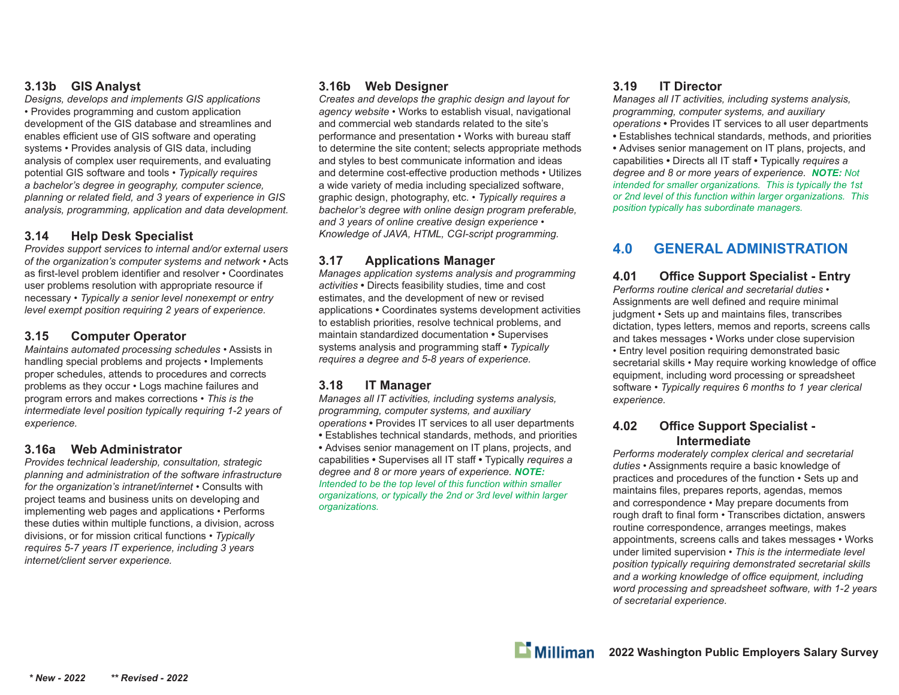#### **3.13b GIS Analyst**

*Designs, develops and implements GIS applications* • Provides programming and custom application development of the GIS database and streamlines and enables efficient use of GIS software and operating systems • Provides analysis of GIS data, including analysis of complex user requirements, and evaluating potential GIS software and tools • *Typically requires a bachelor's degree in geography, computer science,*  planning or related field, and 3 years of experience in GIS *analysis, programming, application and data development.*

#### **3.14 Help Desk Specialist**

*Provides support services to internal and/or external users of the organization's computer systems and network* • Acts as first-level problem identifier and resolver • Coordinates user problems resolution with appropriate resource if necessary • *Typically a senior level nonexempt or entry level exempt position requiring 2 years of experience.*

#### **3.15 Computer Operator**

*Maintains automated processing schedules* • Assists in handling special problems and projects • Implements proper schedules, attends to procedures and corrects problems as they occur • Logs machine failures and program errors and makes corrections • *This is the intermediate level position typically requiring 1-2 years of experience.*

#### **3.16a Web Administrator**

*Provides technical leadership, consultation, strategic planning and administration of the software infrastructure for the organization's intranet/internet* • Consults with project teams and business units on developing and implementing web pages and applications • Performs these duties within multiple functions, a division, across divisions, or for mission critical functions • *Typically requires 5-7 years IT experience, including 3 years internet/client server experience.*

#### **3.16b Web Designer**

*Creates and develops the graphic design and layout for agency website* • Works to establish visual, navigational and commercial web standards related to the site's performance and presentation • Works with bureau sta ffto determine the site content; selects appropriate methods and styles to best communicate information and ideas and determine cost-effective production methods • Utilizes a wide variety of media including specialized software, graphic design, photography, etc. • *Typically requires a bachelor's degree with online design program preferable, and 3 years of online creative design experience • Knowledge of JAVA, HTML, CGI-script programming.*

# **3.17 Applications Manager**

*Manages application systems analysis and programming activities* **•** Directs feasibility studies, time and cost estimates, and the development of new or revised applications **•** Coordinates systems development activities to establish priorities, resolve technical problems, and maintain standardized documentation **•** Supervises systems analysis and programming sta ff **•** *Typically requires a degree and 5-8 years of experience.*

# **3.18 IT Manager**

*Manages all IT activities, including systems analysis, programming, computer systems, and auxiliary operations* **•** Provides IT services to all user departments **•** Establishes technical standards, methods, and priorities **•** Advises senior management on IT plans, projects, and capabilities **•** Supervises all IT sta ff **•** Typically *requires a degree and 8 or more years of experience. NOTE: Intended to be the top level of this function within smaller organizations, or typically the 2nd or 3rd level within larger organizations.*

# **3.19 IT Director**

*Manages all IT activities, including systems analysis, programming, computer systems, and auxiliary operations* **•** Provides IT services to all user departments **•** Establishes technical standards, methods, and priorities **•** Advises senior management on IT plans, projects, and capabilities **•** Directs all IT sta ff **•** Typically *requires a degree and 8 or more years of experience. NOTE: Not intended for smaller organizations. This is typically the 1st or 2nd level of this function within larger organizations. This position typically has subordinate managers.*

# **4.0 GENERAL ADMINISTRATION**

**4.01 O** *Performs routine clerical and secretarial duties* • **Office Support Specialist - Entry** Assignments are well defined and require minimal judgment • Sets up and maintains files, transcribes dictation, types letters, memos and reports, screens calls and takes messages • Works under close supervision • Entry level position requiring demonstrated basic secretarial skills • May require working knowledge of office equipment, including word processing or spreadsheet software • *Typically requires 6 months to 1 year clerical experience.*

#### **4.02 O ffi ce Support Specialist - Intermediate**

*Performs moderately complex clerical and secretarial duties* • Assignments require a basic knowledge of practices and procedures of the function • Sets up and maintains files, prepares reports, agendas, memos and correspondence • May prepare documents from rough draft to final form • Transcribes dictation, answers routine correspondence, arranges meetings, makes appointments, screens calls and takes messages • Works under limited supervision • *This is the intermediate level position typically requiring demonstrated secretarial skills and a working knowledge of o ffi ce equipment, including word processing and spreadsheet software, with 1-2 years of secretarial experience.*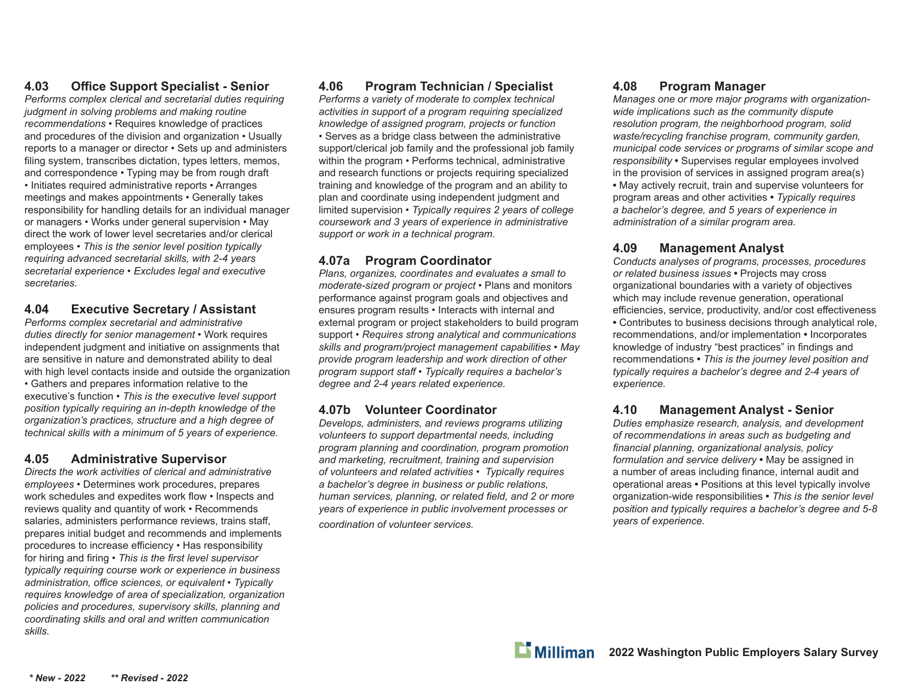# **4.03 Offi ce Support Specialist - Senior**

*Performs complex clerical and secretarial duties requiring judgment in solving problems and making routine recommendations* • Requires knowledge of practices and procedures of the division and organization • Usually reports to a manager or director • Sets up and administers filing system, transcribes dictation, types letters, memos, and correspondence • Typing may be from rough draft • Initiates required administrative reports • Arranges meetings and makes appointments • Generally takes responsibility for handling details for an individual manager or managers • Works under general supervision • May direct the work of lower level secretaries and/or clerical employees • *This is the senior level position typically requiring advanced secretarial skills, with 2-4 years secretarial experience* • *Excludes legal and executive secretaries.*

#### **4.04 Executive Secretary / Assistant**

*Performs complex secretarial and administrative duties directly for senior management* • Work requires independent judgment and initiative on assignments that are sensitive in nature and demonstrated ability to deal with high level contacts inside and outside the organization • Gathers and prepares information relative to the executive's function • *This is the executive level support position typically requiring an in-depth knowledge of the organization's practices, structure and a high degree of technical skills with a minimum of 5 years of experience.*

#### **4.05 Administrative Supervisor**

*Directs the work activities of clerical and administrative employees* • Determines work procedures, prepares work schedules and expedites work flow • Inspects and reviews quality and quantity of work • Recommends salaries, administers performance reviews, trains staff, prepares initial budget and recommends and implements procedures to increase efficiency • Has responsibility for hiring and firing • *This is the first level supervisor typically requiring course work or experience in business administration, offi ce sciences, or equivalent • Typically requires knowledge of area of specialization, organization policies and procedures, supervisory skills, planning and coordinating skills and oral and written communication skills.*

#### **4.06 Program Technician / Specialist**

*Performs a variety of moderate to complex technical activities in support of a program requiring specialized knowledge of assigned program, projects or function* • Serves as a bridge class between the administrative support/clerical job family and the professional job family within the program • Performs technical, administrative and research functions or projects requiring specialized training and knowledge of the program and an ability to plan and coordinate using independent judgment and limited supervision • *Typically requires 2 years of college coursework and 3 years of experience in administrative support or work in a technical program.*

# **4.07a Program Coordinator**

*Plans, organizes, coordinates and evaluates a small to moderate-sized program or project* • Plans and monitors performance against program goals and objectives and ensures program results • Interacts with internal and external program or project stakeholders to build program support • *Requires strong analytical and communications skills and program/project management capabilities* • *May provide program leadership and work direction of other program support staff* • *Typically requires a bachelor's degree and 2-4 years related experience.*

#### **4.07b Volunteer Coordinator**

*Develops, administers, and reviews programs utilizing volunteers to support departmental needs, including program planning and coordination, program promotion and marketing, recruitment, training and supervision of volunteers and related activities* • *Typically requires a bachelor's degree in business or public relations, human services, planning, or related field, and 2 or more years of experience in public involvement processes or* 

*coordination of volunteer services.*

#### **4.08 Program Manager**

*Manages one or more major programs with organizationwide implications such as the community dispute resolution program, the neighborhood program, solid waste/recycling franchise program, community garden, municipal code services or programs of similar scope and responsibility* **•** Supervises regular employees involved in the provision of services in assigned program area(s) **•** May actively recruit, train and supervise volunteers for program areas and other activities **•** *Typically requires a bachelor's degree, and 5 years of experience in administration of a similar program area.*

#### **4.09 Management Analyst**

*Conducts analyses of programs, processes, procedures or related business issues* **•** Projects may cross organizational boundaries with a variety of objectives which may include revenue generation, operational efficiencies, service, productivity, and/or cost effectiveness **•** Contributes to business decisions through analytical role, recommendations, and/or implementation **•** Incorporates knowledge of industry "best practices" in findings and recommendations **•** *This is the journey level position and typically requires a bachelor's degree and 2-4 years of experience.*

#### **4.10 Management Analyst - Senior**

*Duties emphasize research, analysis, and development of recommendations in areas such as budgeting and fi nancial planning, organizational analysis, policy formulation and service delivery* **•** May be assigned in a number of areas including finance, internal audit and operational areas **•** Positions at this level typically involve organization-wide responsibilities **•** *This is the senior level position and typically requires a bachelor's degree and 5-8 years of experience.*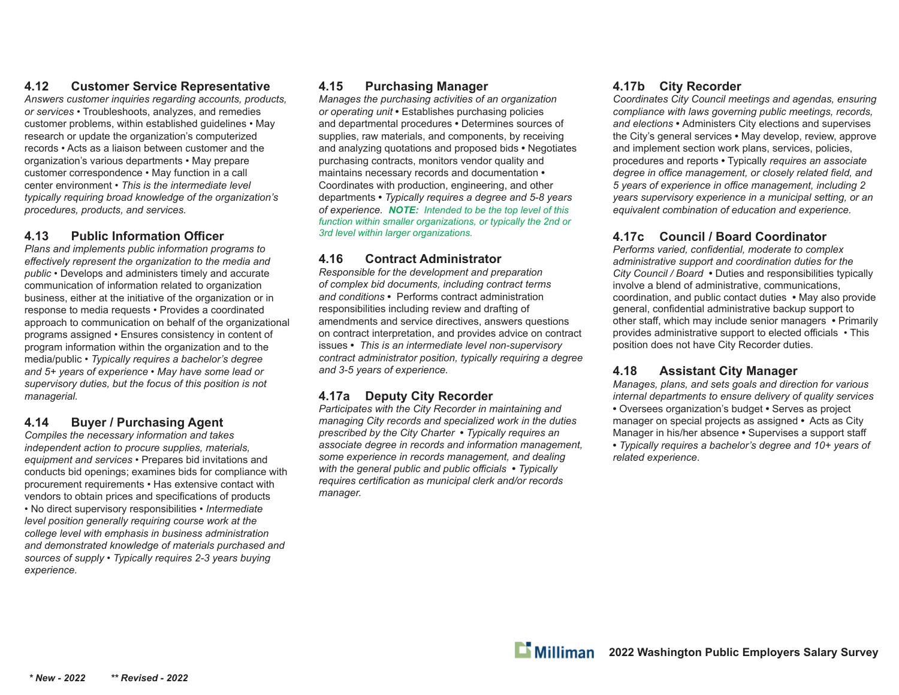# **4.12 Customer Service Representative**

*Answers customer inquiries regarding accounts, products, or services* • Troubleshoots, analyzes, and remedies customer problems, within established guidelines • May research or update the organization's computerized records • Acts as a liaison between customer and the organization's various departments • May prepare customer correspondence • May function in a call center environment • *This is the intermediate level typically requiring broad knowledge of the organization's procedures, products, and services.*

# **4.13 Public Information Offi cer**

*Plans and implements public information programs to <sup>e</sup>ff ectively represent the organization to the media and public* • Develops and administers timely and accurate communication of information related to organization business, either at the initiative of the organization or in response to media requests • Provides a coordinated approach to communication on behalf of the organizational programs assigned • Ensures consistency in content of program information within the organization and to the media/public • *Typically requires a bachelor's degree and 5+ years of experience • May have some lead or supervisory duties, but the focus of this position is not managerial.* 

# **4.14 Buyer / Purchasing Agent**

*Compiles the necessary information and takes independent action to procure supplies, materials, equipment and services* • Prepares bid invitations and conducts bid openings; examines bids for compliance with procurement requirements • Has extensive contact with vendors to obtain prices and specifications of products • No direct supervisory responsibilities • *Intermediate level position generally requiring course work at the college level with emphasis in business administration and demonstrated knowledge of materials purchased and sources of supply • Typically requires 2-3 years buying experience.*

# **4.15 Purchasing Manager**

*Manages the purchasing activities of an organization or operating unit* **•** Establishes purchasing policies and departmental procedures **•** Determines sources of supplies, raw materials, and components, by receiving and analyzing quotations and proposed bids **•** Negotiates purchasing contracts, monitors vendor quality and maintains necessary records and documentation **•**  Coordinates with production, engineering, and other departments **•** *Typically requires a degree and 5-8 years of experience. NOTE: Intended to be the top level of this function within smaller organizations, or typically the 2nd or 3rd level within larger organizations.*

# **4.16 Contract Administrator**

*Responsible for the development and preparation of complex bid documents, including contract terms and conditions* **•** Performs contract administration responsibilities including review and drafting of amendments and service directives, answers questions on contract interpretation, and provides advice on contract issues **•** *This is an intermediate level non-supervisory contract administrator position, typically requiring a degree and 3-5 years of experience.*

# **4.17a Deputy City Recorder**

*Participates with the City Recorder in maintaining and managing City records and specialized work in the duties prescribed by the City Charter* **•** *Typically requires an associate degree in records and information management, some experience in records management, and dealing with the general public and public officials • Typically requires certification as municipal clerk and/or records manager.*

# **4.17b City Recorder**

*Coordinates City Council meetings and agendas, ensuring compliance with laws governing public meetings, records, and elections* **•** Administers City elections and supervises the City's general services **•** May develop, review, approve and implement section work plans, services, policies, procedures and reports **•** Typically *requires an associate degree in office management, or closely related field, and 5 years of experience in offi ce management, including 2 years supervisory experience in a municipal setting, or an equivalent combination of education and experience.*

# **4.17c Council / Board Coordinator**

Performs varied, confidential, moderate to complex *administrative support and coordination duties for the City Council / Board* **•** Duties and responsibilities typically involve a blend of administrative, communications, coordination, and public contact duties **•** May also provide general, confidential administrative backup support to other staff, which may include senior managers • Primarily provides administrative support to elected officials • This position does not have City Recorder duties.

# **4.18 Assistant City Manager**

*Manages, plans, and sets goals and direction for various internal departments to ensure delivery of quality services*

- Oversees organization's budget Serves as project manager on special projects as assigned **•** Acts as City Manager in his/her absence **•** Supervises a support staff
- *Typically requires a bachelor's degree and 10+ years of related experience*.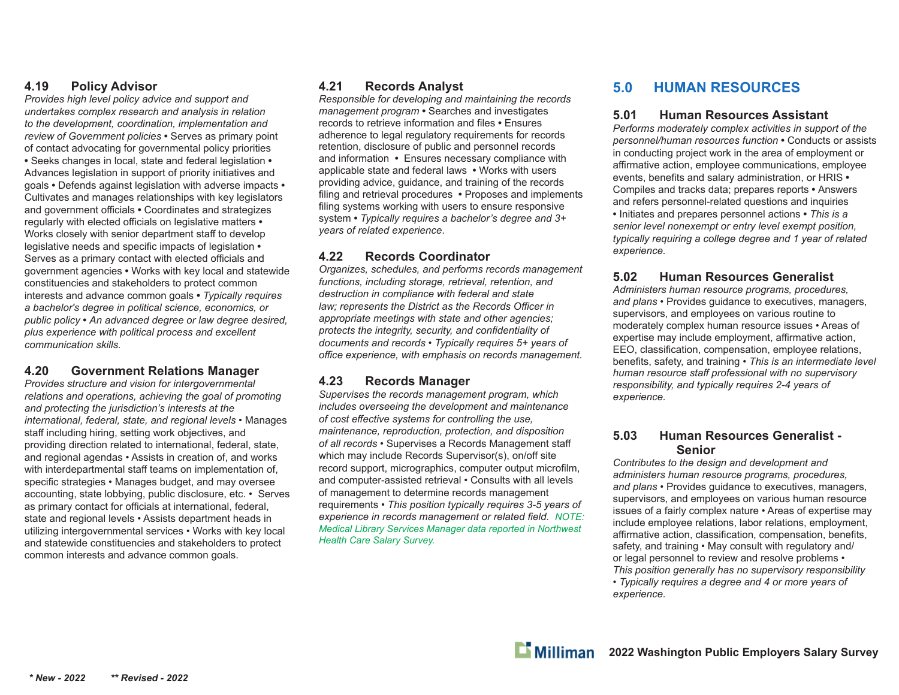#### **4.19 Policy Advisor**

*Provides high level policy advice and support and undertakes complex research and analysis in relation to the development, coordination, implementation and review of Government policies* **•** Serves as primary point of contact advocating for governmental policy priorities **•** Seeks changes in local, state and federal legislation **•**  Advances legislation in support of priority initiatives and goals **•** Defends against legislation with adverse impacts **•**  Cultivates and manages relationships with key legislators and government o ffi cials **•** Coordinates and strategizes regularly with elected o ffi cials on legislative matters **•**  Works closely with senior department sta ff to develop legislative needs and specific impacts of legislation • Serves as a primary contact with elected officials and government agencies **•** Works with key local and statewide constituencies and stakeholders to protect common interests and advance common goals **•** *Typically requires a bachelor's degree in political science, economics, or public policy* **•** *An advanced degree or law degree desired, plus experience with political process and excellent communication skills.*

#### **4.20 Government Relations Manager**

*Provides structure and vision for intergovernmental relations and operations, achieving the goal of promoting and protecting the jurisdiction's interests at the international, federal, state, and regional levels* • Manages sta ff including hiring, setting work objectives, and providing direction related to international, federal, state, and regional agendas • Assists in creation of, and works with interdepartmental sta ff teams on implementation of, specific strategies • Manages budget, and may oversee accounting, state lobbying, public disclosure, etc. • Serves as primary contact for officials at international, federal, state and regional levels • Assists department heads in utilizing intergovernmental services • Works with key local and statewide constituencies and stakeholders to protect common interests and advance common goals.

#### **4.21 Records Analyst**

*Responsible for developing and maintaining the records management program* **•** Searches and investigates records to retrieve information and files • Ensures adherence to legal regulatory requirements for records retention, disclosure of public and personnel records and information **•** Ensures necessary compliance with applicable state and federal laws **•** Works with users providing advice, guidance, and training of the records filing and retrieval procedures • Proposes and implements filing systems working with users to ensure responsive system **•** *Typically requires a bachelor's degree and 3+ years of related experience*.

#### **4.22 Records Coordinator**

*Organizes, schedules, and performs records management functions, including storage, retrieval, retention, and destruction in compliance with federal and state law; represents the District as the Records Officer in appropriate meetings with state and other agencies;*  protects the integrity, security, and confidentiality of *documents and records • Typically requires 5+ years of <sup>o</sup>ffi ce experience, with emphasis on records management.*

#### **4.23 Records Manager**

*Supervises the records management program, which includes overseeing the development and maintenance of cost e ff ective systems for controlling the use, maintenance, reproduction, protection, and disposition of all records* • Supervises a Records Management sta ffwhich may include Records Supervisor(s), on/o ff site record support, micrographics, computer output microfilm, and computer-assisted retrieval • Consults with all levels of management to determine records management requirements • *This position typically requires 3-5 years of experience in records management or related field. NOTE: Medical Library Services Manager data reported in Northwest Health Care Salary Survey.*

# **5.0 HUMAN RESOURCES**

#### **5.01 Human Resources Assistant**

*Performs moderately complex activities in support of the personnel/human resources function* **•** Conducts or assists in conducting project work in the area of employment or affirmative action, employee communications, employee events, benefits and salary administration, or HRIS  $\cdot$ Compiles and tracks data; prepares reports **•** Answers and refers personnel-related questions and inquiries **•** Initiates and prepares personnel actions **•** *This is a senior level nonexempt or entry level exempt position, typically requiring a college degree and 1 year of related experience.*

# **5.02 Human Resources Generalist**

*Administers human resource programs, procedures, and plans* • Provides guidance to executives, managers, supervisors, and employees on various routine to moderately complex human resource issues • Areas of expertise may include employment, affirmative action, EEO, classification, compensation, employee relations, benefits, safety, and training  $\cdot$  This is an intermediate level *human resource sta ff professional with no supervisory responsibility, and typically requires 2-4 years of experience.*

#### **5.03 Human Resources Generalist - Senior**

*Contributes to the design and development and administers human resource programs, procedures, and plans* • Provides guidance to executives, managers, supervisors, and employees on various human resource issues of a fairly complex nature • Areas of expertise may include employee relations, labor relations, employment, affirmative action, classification, compensation, benefits, safety, and training • May consult with regulatory and/ or legal personnel to review and resolve problems • *This position generally has no supervisory responsibility* 

*• Typically requires a degree and 4 or more years of experience.*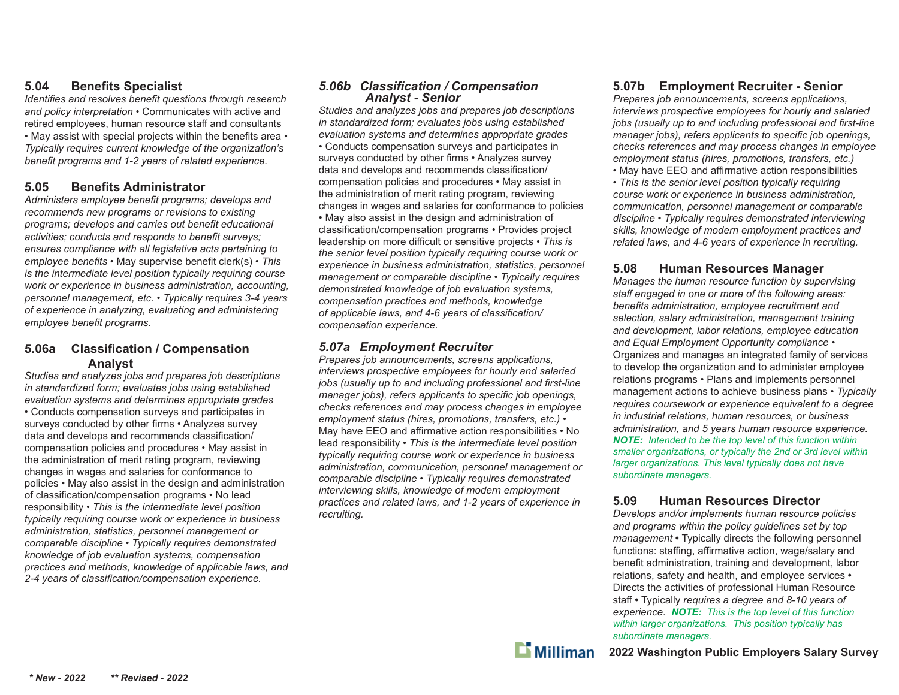#### **5.04 Benefi ts Specialist**

*Identifies and resolves benefit questions through research and policy interpretation* • Communicates with active and retired employees, human resource sta ff and consultants • May assist with special projects within the benefits area • *Typically requires current knowledge of the organization's*  benefit programs and 1-2 years of related experience.

#### **5.05 Benefi ts Administrator**

Administers employee benefit programs; develops and *recommends new programs or revisions to existing programs; develops and carries out benefit educational* activities; conducts and responds to benefit surveys; *ensures compliance with all legislative acts pertaining to employee benefits* • May supervise benefit clerk(s) • This *is the intermediate level position typically requiring course work or experience in business administration, accounting, personnel management, etc. • Typically requires 3-4 years of experience in analyzing, evaluating and administering employee benefit programs.* 

#### **5.06a Classi fi cation / Compensation Analyst**

*Studies and analyzes jobs and prepares job descriptions in standardized form; evaluates jobs using established evaluation systems and determines appropriate grades* • Conducts compensation surveys and participates in surveys conducted by other firms • Analyzes survey data and develops and recommends classification/ compensation policies and procedures • May assist in the administration of merit rating program, reviewing changes in wages and salaries for conformance to policies • May also assist in the design and administration of classification/compensation programs • No lead responsibility • *This is the intermediate level position typically requiring course work or experience in business administration, statistics, personnel management or comparable discipline • Typically requires demonstrated knowledge of job evaluation systems, compensation practices and methods, knowledge of applicable laws, and*  2-4 years of classification/compensation experience.

# *5.06b Classifi cation / Compensation Analyst - Senior*

*Studies and analyzes jobs and prepares job descriptions in standardized form; evaluates jobs using established evaluation systems and determines appropriate grades* • Conducts compensation surveys and participates in surveys conducted by other firms • Analyzes survey data and develops and recommends classification/ compensation policies and procedures • May assist in the administration of merit rating program, reviewing changes in wages and salaries for conformance to policies • May also assist in the design and administration of classification/compensation programs • Provides project leadership on more di ffi cult or sensitive projects • *This is the senior level position typically requiring course work or experience in business administration, statistics, personnel management or comparable discipline • Typically requires demonstrated knowledge of job evaluation systems, compensation practices and methods, knowledge*  of applicable laws, and 4-6 years of classification/ *compensation experience.*

# *5.07a Employment Recruiter*

*Prepares job announcements, screens applications, interviews prospective employees for hourly and salaried*  jobs (usually up to and including professional and first-line *manager jobs), refers applicants to specific job openings, checks references and may process changes in employee employment status (hires, promotions, transfers, etc.)* • May have EEO and affirmative action responsibilities • No lead responsibility • *This is the intermediate level position typically requiring course work or experience in business administration, communication, personnel management or comparable discipline • Typically requires demonstrated interviewing skills, knowledge of modern employment practices and related laws, and 1-2 years of experience in recruiting.*

# **5.07b Employment Recruiter - Senior**

*Prepares job announcements, screens applications, interviews prospective employees for hourly and salaried*  jobs (usually up to and including professional and first-line *manager jobs), refers applicants to specific job openings, checks references and may process changes in employee employment status (hires, promotions, transfers, etc.)*

 $\bullet$  May have EEO and affirmative action responsibilities • *This is the senior level position typically requiring course work or experience in business administration, communication, personnel management or comparable discipline • Typically requires demonstrated interviewing skills, knowledge of modern employment practices and related laws, and 4-6 years of experience in recruiting.*

# **5.08 Human Resources Manager**

*Manages the human resource function by supervising staff engaged in one or more of the following areas:*  benefits administration, employee recruitment and *selection, salary administration, management training and development, labor relations, employee education and Equal Employment Opportunity compliance* • Organizes and manages an integrated family of services to develop the organization and to administer employee relations programs • Plans and implements personnel management actions to achieve business plans • *Typically requires coursework or experience equivalent to a degree in industrial relations, human resources, or business administration, and 5 years human resource experience. NOTE: Intended to be the top level of this function within smaller organizations, or typically the 2nd or 3rd level within larger organizations. This level typically does not have subordinate managers.*

#### **5.09 Human Resources Director**

*Develops and/or implements human resource policies and programs within the policy guidelines set by top management* **•** Typically directs the following personnel functions: staffing, affirmative action, wage/salary and benefit administration, training and development, labor relations, safety and health, and employee services **•**  Directs the activities of professional Human Resource sta ff **•** Typically *requires a degree and 8-10 years of experience*. *NOTE: This is the top level of this function within larger organizations. This position typically has subordinate managers.*

 $\mathbf{L}$  Milliman

**2022 Washington Public Employers Salary Survey**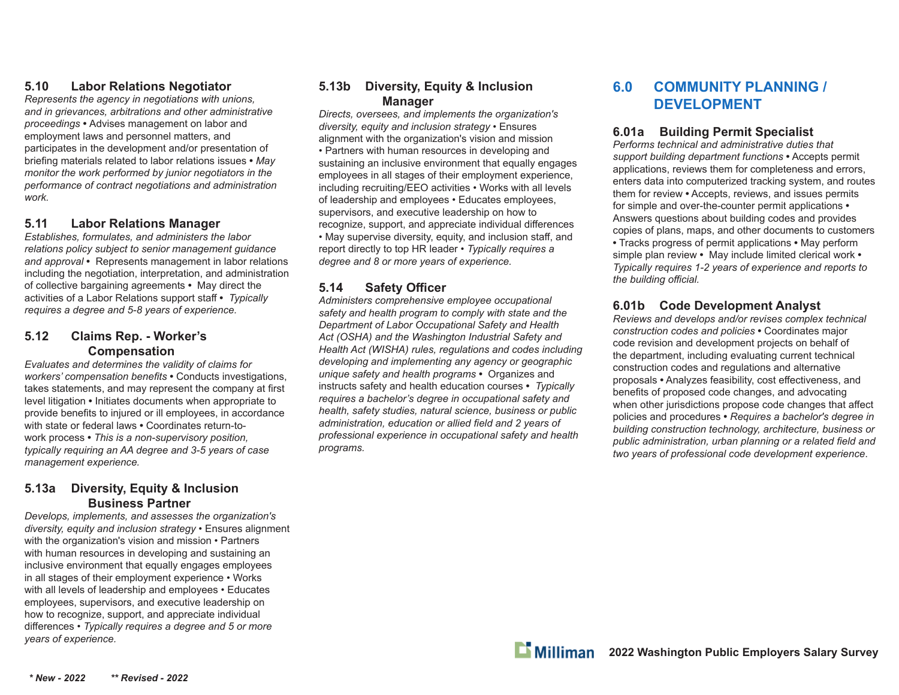# **5.10 Labor Relations Negotiator**

*Represents the agency in negotiations with unions, and in grievances, arbitrations and other administrative proceedings* **•** Advises management on labor and employment laws and personnel matters, and participates in the development and/or presentation of briefing materials related to labor relations issues • May *monitor the work performed by junior negotiators in the performance of contract negotiations and administration work.*

#### **5.11 Labor Relations Manager**

*Establishes, formulates, and administers the labor relations policy subject to senior management guidance and approval* **•** Represents management in labor relations including the negotiation, interpretation, and administration of collective bargaining agreements **•** May direct the activities of a Labor Relations support sta ff **•** *Typically requires a degree and 5-8 years of experience.*

#### **5.12 Claims Rep. - Worker's Compensation**

*Evaluates and determines the validity of claims for workers' compensation benefits* • Conducts investigations, takes statements, and may represent the company at first level litigation **•** Initiates documents when appropriate to provide benefits to injured or ill employees, in accordance with state or federal laws **•** Coordinates return-towork process **•** *This is a non-supervisory position, typically requiring an AA degree and 3-5 years of case management experience.*

#### **5.13a Diversity, Equity & Inclusion Business Partner**

*Develops, implements, and assesses the organization's diversity, equity and inclusion strategy •* Ensures alignment with the organization's vision and mission • Partners with human resources in developing and sustaining an inclusive environment that equally engages employees in all stages of their employment experience • Works with all levels of leadership and employees • Educates employees, supervisors, and executive leadership on how to recognize, support, and appreciate individual di ff erences *• Typically requires a degree and 5 or more years of experience.*

#### **5.13b Diversity, Equity & Inclusion Manager**

*Directs, oversees, and implements the organization's diversity, equity and inclusion strategy •* Ensures alignment with the organization's vision and mission • Partners with human resources in developing and sustaining an inclusive environment that equally engages employees in all stages of their employment experience, including recruiting/EEO activities • Works with all levels of leadership and employees • Educates employees, supervisors, and executive leadership on how to recognize, support, and appreciate individual differences • May supervise diversity, equity, and inclusion sta ff , and report directly to top HR leader • *Typically requires a degree and 8 or more years of experience.*

#### **5.14 Safety O ffi cer**

*Administers comprehensive employee occupational safety and health program to comply with state and the Department of Labor Occupational Safety and Health Act (OSHA) and the Washington Industrial Safety and Health Act (WISHA) rules, regulations and codes including developing and implementing any agency or geographic unique safety and health programs* **•** Organizes and instructs safety and health education courses **•** *Typically requires a bachelor's degree in occupational safety and health, safety studies, natural science, business or public*  administration, education or allied field and 2 years of *professional experience in occupational safety and health programs.*

# **6.0 COMMUNITY PLANNING / DEVELOPMENT**

#### **6.01a Building Permit Specialist**

*Performs technical and administrative duties that support building department functions* **•** Accepts permit applications, reviews them for completeness and errors, enters data into computerized tracking system, and routes them for review **•** Accepts, reviews, and issues permits for simple and over-the-counter permit applications **•** Answers questions about building codes and provides copies of plans, maps, and other documents to customers **•** Tracks progress of permit applications **•** May perform simple plan review **•** May include limited clerical work **•** *Typically requires 1-2 years of experience and reports to the building o ffi cial.*

# **6.01b Code Development Analyst**

*Reviews and develops and/or revises complex technical construction codes and policies* **•** Coordinates major code revision and development projects on behalf of the department, including evaluating current technical construction codes and regulations and alternative proposals  $\bullet$  Analyzes feasibility, cost effectiveness, and benefits of proposed code changes, and advocating when other jurisdictions propose code changes that affect policies and procedures **•** *Requires a bachelor's degree in building construction technology, architecture, business or*  public administration, urban planning or a related field and *two years of professional code development experience*.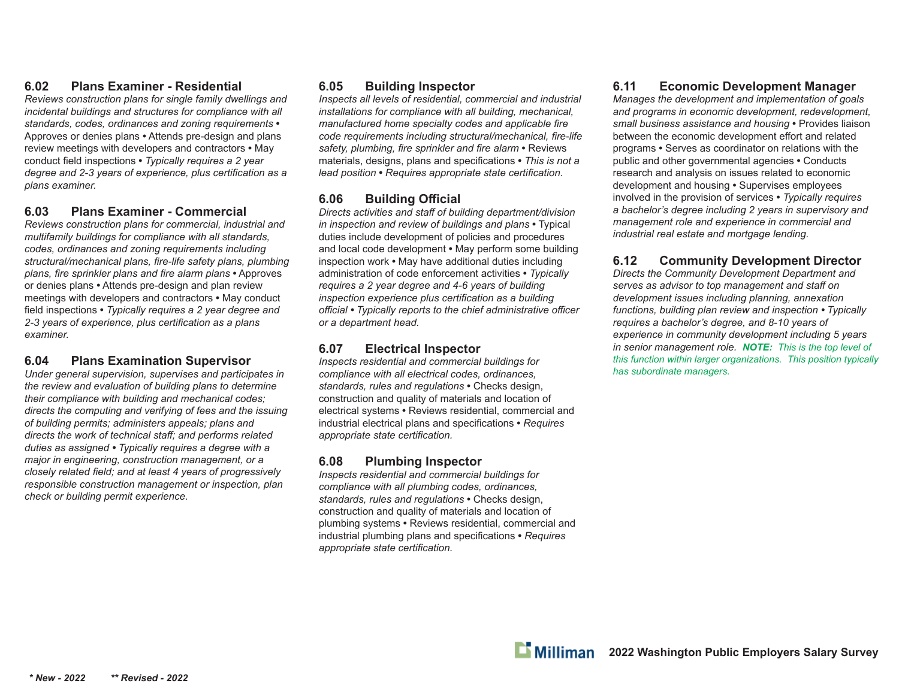# **6.02 Plans Examiner - Residential**

*Reviews construction plans for single family dwellings and incidental buildings and structures for compliance with all standards, codes, ordinances and zoning requirements* **•** Approves or denies plans **•** Attends pre-design and plans review meetings with developers and contractors **•** May conduct field inspections • *Typically requires a 2 year degree and 2-3 years of experience, plus certification as a plans examiner.*

# **6.03 Plans Examiner - Commercial**

*Reviews construction plans for commercial, industrial and multifamily buildings for compliance with all standards, codes, ordinances and zoning requirements including*  structural/mechanical plans, fire-life safety plans, plumbing *plans, fire sprinkler plans and fire alarm plans* • Approves or denies plans **•** Attends pre-design and plan review meetings with developers and contractors **•** May conduct field inspections • *Typically requires a 2 year degree and* 2-3 years of experience, plus certification as a plans *examiner.*

# **6.04 Plans Examination Supervisor**

*Under general supervision, supervises and participates in the review and evaluation of building plans to determine their compliance with building and mechanical codes; directs the computing and verifying of fees and the issuing of building permits; administers appeals; plans and directs the work of technical staff ; and performs related duties as assigned • Typically requires a degree with a major in engineering, construction management, or a closely related field; and at least 4 years of progressively responsible construction management or inspection, plan check or building permit experience.* 

### **6.05 Building Inspector**

*Inspects all levels of residential, commercial and industrial installations for compliance with all building, mechanical, manufactured home specialty codes and applicable fire* code requirements including structural/mechanical, fire-life safety, plumbing, fire sprinkler and fire alarm • Reviews materials, designs, plans and specifications • This is not a *lead position* • *Requires appropriate state certification.* 

# **6.06 Building Offi cial**

*Directs activities and staff of building department/division in inspection and review of buildings and plans* • Typical duties include development of policies and procedures and local code development **•** May perform some building inspection work **•** May have additional duties including administration of code enforcement activities **•** *Typically requires a 2 year degree and 4-6 years of building inspection experience plus certification as a building <sup>o</sup>ffi cial • Typically reports to the chief administrative offi cer or a department head.*

#### **6.07 Electrical Inspector**

*Inspects residential and commercial buildings for compliance with all electrical codes, ordinances, standards, rules and regulations* **•** Checks design, construction and quality of materials and location of electrical systems **•** Reviews residential, commercial and industrial electrical plans and specifications • Requires *appropriate state certifi cation.*

# **6.08 Plumbing Inspector**

*Inspects residential and commercial buildings for compliance with all plumbing codes, ordinances, standards, rules and regulations* **•** Checks design, construction and quality of materials and location of plumbing systems **•** Reviews residential, commercial and industrial plumbing plans and specifications • Requires *appropriate state certifi cation.*

# **6.11 Economic Development Manager**

*Manages the development and implementation of goals and programs in economic development, redevelopment, small business assistance and housing* **•** Provides liaison between the economic development effort and related programs **•** Serves as coordinator on relations with the public and other governmental agencies **•** Conducts research and analysis on issues related to economic development and housing **•** Supervises employees involved in the provision of services **•** *Typically requires a bachelor's degree including 2 years in supervisory and management role and experience in commercial and industrial real estate and mortgage lending.*

# **6.12 Community Development Director**

*Directs the Community Development Department and serves as advisor to top management and staff on development issues including planning, annexation functions, building plan review and inspection • Typically requires a bachelor's degree, and 8-10 years of experience in community development including 5 years in senior management role. NOTE: This is the top level of this function within larger organizations. This position typically has subordinate managers.*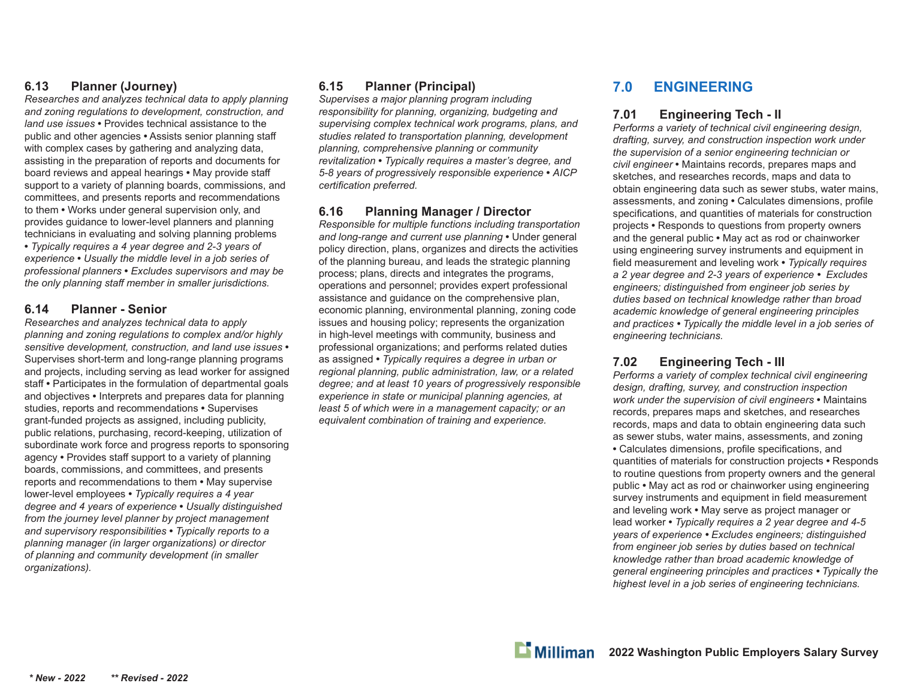#### **6.13 Planner (Journey)**

*Researches and analyzes technical data to apply planning and zoning regulations to development, construction, and land use issues* **•** Provides technical assistance to the public and other agencies **•** Assists senior planning sta ffwith complex cases by gathering and analyzing data, assisting in the preparation of reports and documents for board reviews and appeal hearings **•** May provide sta ffsupport to a variety of planning boards, commissions, and committees, and presents reports and recommendations to them **•** Works under general supervision only, and provides guidance to lower-level planners and planning technicians in evaluating and solving planning problems **•** *Typically requires a 4 year degree and 2-3 years of experience* **•** *Usually the middle level in a job series of professional planners* **•** *Excludes supervisors and may be the only planning sta ff member in smaller jurisdictions.*

#### **6.14 Planner - Senior**

*Researches and analyzes technical data to apply planning and zoning regulations to complex and/or highly sensitive development, construction, and land use issues* **•** Supervises short-term and long-range planning programs and projects, including serving as lead worker for assigned staff **•** Participates in the formulation of departmental goals and objectives **•** Interprets and prepares data for planning studies, reports and recommendations **•** Supervises grant-funded projects as assigned, including publicity, public relations, purchasing, record-keeping, utilization of subordinate work force and progress reports to sponsoring agency **•** Provides sta ff support to a variety of planning boards, commissions, and committees, and presents reports and recommendations to them **•** May supervise lower-level employees **•** *Typically requires a 4 year degree and 4 years of experience* **•** *Usually distinguished from the journey level planner by project management and supervisory responsibilities* **•** *Typically reports to a planning manager (in larger organizations) or director of planning and community development (in smaller organizations).* 

# **6.15 Planner (Principal)**

*Supervises a major planning program including responsibility for planning, organizing, budgeting and supervising complex technical work programs, plans, and studies related to transportation planning, development planning, comprehensive planning or community revitalization* **•** *Typically requires a master's degree, and 5-8 years of progressively responsible experience* **•** *AICP certifi cation preferred.* 

#### **6.16 Planning Manager / Director**

*Responsible for multiple functions including transportation and long-range and current use planning* **•** Under general policy direction, plans, organizes and directs the activities of the planning bureau, and leads the strategic planning process; plans, directs and integrates the programs, operations and personnel; provides expert professional assistance and quidance on the comprehensive plan, economic planning, environmental planning, zoning code issues and housing policy; represents the organization in high-level meetings with community, business and professional organizations; and performs related duties as assigned **•** *Typically requires a degree in urban or regional planning, public administration, law, or a related degree; and at least 10 years of progressively responsible experience in state or municipal planning agencies, at least 5 of which were in a management capacity; or an*  equivalent combination of training and experience.

# **7.0 ENGINEERING**

#### **7.01 Engineering Tech - II**

*Performs a variety of technical civil engineering design, drafting, survey, and construction inspection work under the supervision of a senior engineering technician or civil engineer* **•** Maintains records, prepares maps and sketches, and researches records, maps and data to obtain engineering data such as sewer stubs, water mains, assessments, and zoning **•** Calculates dimensions, profi le specifications, and quantities of materials for construction projects **•** Responds to questions from property owners and the general public **•** May act as rod or chainworker using engineering survey instruments and equipment in field measurement and leveling work • Typically requires *a 2 year degree and 2-3 years of experience • Excludes engineers; distinguished from engineer job series by duties based on technical knowledge rather than broad academic knowledge of general engineering principles and practices • Typically the middle level in a job series of engineering technicians.*

# **7.02 Engineering Tech - III**

*Performs a variety of complex technical civil engineering design, drafting, survey, and construction inspection work under the supervision of civil engineers* **•** Maintains records, prepares maps and sketches, and researches records, maps and data to obtain engineering data such as sewer stubs, water mains, assessments, and zoning • Calculates dimensions, profile specifications, and quantities of materials for construction projects **•** Responds to routine questions from property owners and the general public **•** May act as rod or chainworker using engineering survey instruments and equipment in field measurement and leveling work **•** May serve as project manager or lead worker **•** *Typically requires a 2 year degree and 4-5 years of experience • Excludes engineers; distinguished from engineer job series by duties based on technical knowledge rather than broad academic knowledge of general engineering principles and practices • Typically the highest level in a job series of engineering technicians.*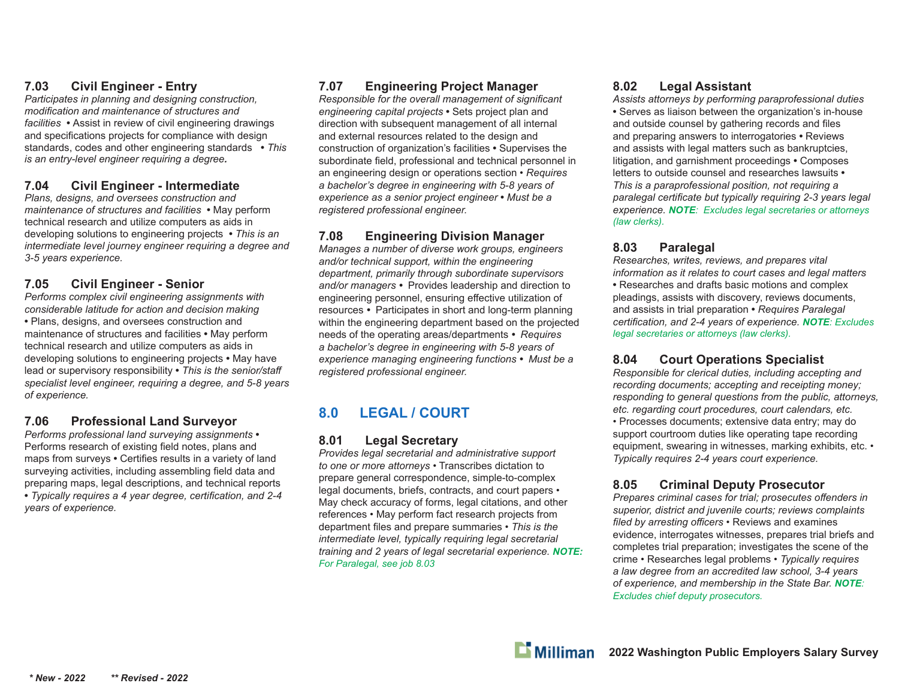# **7.03 Civil Engineer - Entry**

*Participates in planning and designing construction, modifi cation and maintenance of structures and facilities* **•** Assist in review of civil engineering drawings and specifications projects for compliance with design standards, codes and other engineering standards **•** *This is an entry-level engineer requiring a degree.*

#### **7.04 Civil Engineer - Intermediate**

*Plans, designs, and oversees construction and maintenance of structures and facilities* **•** May perform technical research and utilize computers as aids in developing solutions to engineering projects **•** *This is an intermediate level journey engineer requiring a degree and 3-5 years experience.*

# **7.05 Civil Engineer - Senior**

*Performs complex civil engineering assignments with considerable latitude for action and decision making*  **•** Plans, designs, and oversees construction and maintenance of structures and facilities **•** May perform technical research and utilize computers as aids in developing solutions to engineering projects **•** May have lead or supervisory responsibility **•** *This is the senior/sta ff specialist level engineer, requiring a degree, and 5-8 years of experience.*

# **7.06 Professional Land Surveyor**

*Performs professional land surveying assignments* **•**  Performs research of existing field notes, plans and maps from surveys • Certifies results in a variety of land surveying activities, including assembling field data and preparing maps, legal descriptions, and technical reports • Typically requires a 4 year degree, certification, and 2-4 *years of experience.*

# **7.07 Engineering Project Manager**

*Responsible for the overall management of significant engineering capital projects* **•** Sets project plan and direction with subsequent management of all internal and external resources related to the design and construction of organization's facilities **•** Supervises the subordinate field, professional and technical personnel in an engineering design or operations section • *Requires a bachelor's degree in engineering with 5-8 years of experience as a senior project engineer* **•** *Must be a registered professional engineer.*

# **7.08 Engineering Division Manager**

*Manages a number of diverse work groups, engineers and/or technical support, within the engineering department, primarily through subordinate supervisors and/or managers •* Provides leadership and direction to engineering personnel, ensuring effective utilization of resources *•* Participates in short and long-term planning within the engineering department based on the projected needs of the operating areas/departments *• Requires a bachelor's degree in engineering with 5-8 years of experience managing engineering functions • Must be a registered professional engineer.*

# **8.0 LEGAL / COURT**

#### **8.01 Legal Secretary**

*Provides legal secretarial and administrative support to one or more attorneys* • Transcribes dictation to prepare general correspondence, simple-to-complex legal documents, briefs, contracts, and court papers • May check accuracy of forms, legal citations, and other references • May perform fact research projects from department files and prepare summaries • This is the *intermediate level, typically requiring legal secretarial training and 2 years of legal secretarial experience. NOTE: For Paralegal, see job 8.03*

# **8.02 Legal Assistant**

*Assists attorneys by performing paraprofessional duties* **•** Serves as liaison between the organization's in-house and outside counsel by gathering records and files and preparing answers to interrogatories **•** Reviews and assists with legal matters such as bankruptcies, litigation, and garnishment proceedings **•** Composes letters to outside counsel and researches lawsuits **•**  *This is a paraprofessional position, not requiring a*  paralegal certificate but typically requiring 2-3 years legal *experience. NOTE: Excludes legal secretaries or attorneys (law clerks).* 

# **8.03 Paralegal**

*Researches, writes, reviews, and prepares vital information as it relates to court cases and legal matters* **•** Researches and drafts basic motions and complex pleadings, assists with discovery, reviews documents, and assists in trial preparation **•** *Requires Paralegal certifi cation, and 2-4 years of experience. NOTE: Excludes legal secretaries or attorneys (law clerks).*

#### **8.04 Court Operations Specialist**

*Responsible for clerical duties, including accepting and recording documents; accepting and receipting money; responding to general questions from the public, attorneys, etc. regarding court procedures, court calendars, etc.*  • Processes documents; extensive data entry; may do support courtroom duties like operating tape recording equipment, swearing in witnesses, marking exhibits, etc. • *Typically requires 2-4 years court experience.*

# **8.05 Criminal Deputy Prosecutor**

*Prepares criminal cases for trial; prosecutes o ff enders in superior, district and juvenile courts; reviews complaints fi led by arresting o ffi cers* • Reviews and examines evidence, interrogates witnesses, prepares trial briefs and completes trial preparation; investigates the scene of the crime • Researches legal problems • *Typically requires a law degree from an accredited law school, 3-4 years of experience, and membership in the State Bar. NOTE: Excludes chief deputy prosecutors.*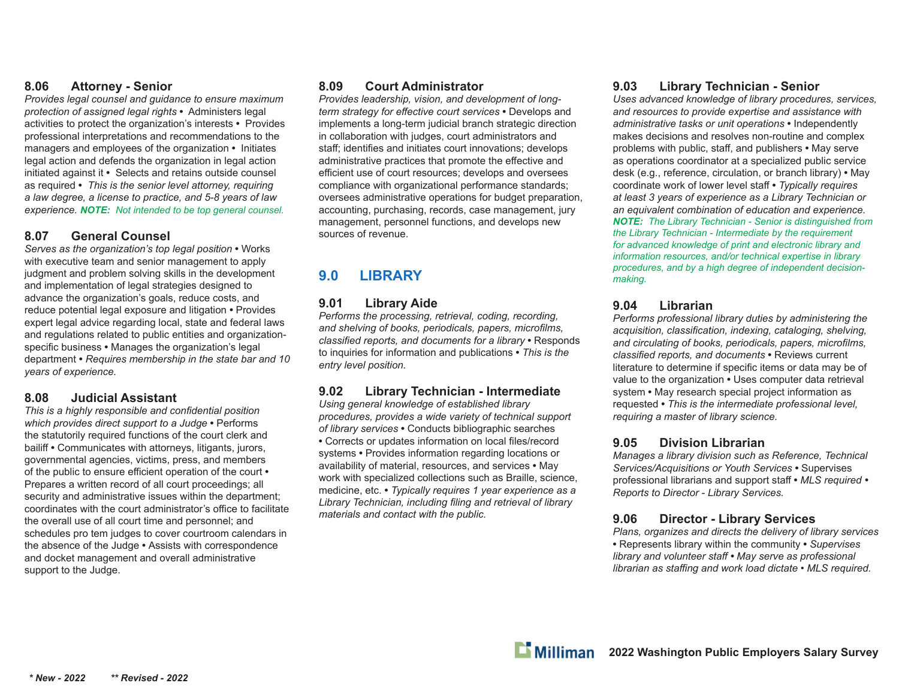#### **8.06 Attorney - Senior**

*Provides legal counsel and guidance to ensure maximum protection of assigned legal rights* **•** Administers legal activities to protect the organization's interests **•** Provides professional interpretations and recommendations to the managers and employees of the organization **•** Initiates legal action and defends the organization in legal action initiated against it **•** Selects and retains outside counsel as required **•** *This is the senior level attorney, requiring a law degree, a license to practice, and 5-8 years of law experience. NOTE: Not intended to be top general counsel.*

#### **8.07 General Counsel**

*Serves as the organization's top legal position* **•** Works with executive team and senior management to apply judgment and problem solving skills in the development and implementation of legal strategies designed to advance the organization's goals, reduce costs, and reduce potential legal exposure and litigation **•** Provides expert legal advice regarding local, state and federal laws and regulations related to public entities and organizationspecific business • Manages the organization's legal department **•** *Requires membership in the state bar and 10 years of experience.*

#### **8.08 Judicial Assistant**

*This is a highly responsible and confidential position which provides direct support to a Judge* **•** Performs the statutorily required functions of the court clerk and bailiff **•** Communicates with attorneys, litigants, jurors, governmental agencies, victims, press, and members of the public to ensure efficient operation of the court  $\cdot$ Prepares a written record of all court proceedings; all security and administrative issues within the department; coordinates with the court administrator's office to facilitate the overall use of all court time and personnel; and schedules pro tem judges to cover courtroom calendars in the absence of the Judge **•** Assists with correspondence and docket management and overall administrative support to the Judge.

#### **8.09 Court Administrator**

*Provides leadership, vision, and development of longterm strategy for effective court services* • Develops and implements a long-term judicial branch strategic direction in collaboration with judges, court administrators and staff; identifies and initiates court innovations; develops administrative practices that promote the effective and efficient use of court resources; develops and oversees compliance with organizational performance standards; oversees administrative operations for budget preparation, accounting, purchasing, records, case management, jury management, personnel functions, and develops new sources of revenue.

# **9.0 LIBRARY**

#### **9.01 Library Aide**

*Performs the processing, retrieval, coding, recording,*  and shelving of books, periodicals, papers, microfilms, *classifi ed reports, and documents for a library* **•** Responds to inquiries for information and publications **•** *This is the entry level position.*

# **9.02 Library Technician - Intermediate**

*Using general knowledge of established library procedures, provides a wide variety of technical support of library services* **•** Conducts bibliographic searches • Corrects or updates information on local files/record systems **•** Provides information regarding locations or availability of material, resources, and services **•** May work with specialized collections such as Braille, science, medicine, etc. **•** *Typically requires 1 year experience as a*  Library Technician, including filing and retrieval of library *materials and contact with the public.*

#### **9.03 Library Technician - Senior**

*Uses advanced knowledge of library procedures, services, and resources to provide expertise and assistance with administrative tasks or unit operations* **•** Independently makes decisions and resolves non-routine and complex problems with public, staff , and publishers **•** May serve as operations coordinator at a specialized public service desk (e.g., reference, circulation, or branch library) **•** May coordinate work of lower level staff **•** *Typically requires at least 3 years of experience as a Library Technician or an equivalent combination of education and experience. NOTE: The Library Technician - Senior is distinguished from the Library Technician - Intermediate by the requirement for advanced knowledge of print and electronic library and information resources, and/or technical expertise in library procedures, and by a high degree of independent decisionmaking.* 

#### **9.04 Librarian**

*Performs professional library duties by administering the*  acquisition, classification, indexing, cataloging, shelving, and circulating of books, periodicals, papers, microfilms, *classifi ed reports, and documents* **•** Reviews current literature to determine if specific items or data may be of value to the organization **•** Uses computer data retrieval system **•** May research special project information as requested **•** *This is the intermediate professional level, requiring a master of library science.*

#### **9.05 Division Librarian**

*Manages a library division such as Reference, Technical Services/Acquisitions or Youth Services* **•** Supervises professional librarians and support staff **•** *MLS required • Reports to Director - Library Services.*

#### **9.06 Director - Library Services**

*Plans, organizes and directs the delivery of library services* **•** Represents library within the community **•** *Supervises library and volunteer staff • May serve as professional librarian as staffing and work load dictate • MLS required.*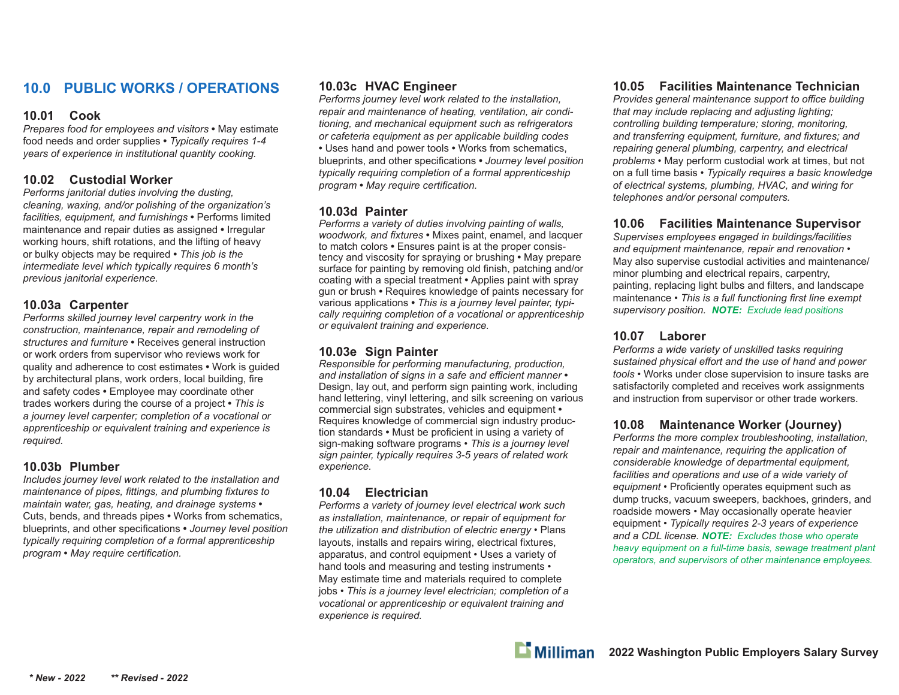# **10.0 PUBLIC WORKS / OPERATIONS**

#### **10.01 Cook**

*Prepares food for employees and visitors* **•** May estimate food needs and order supplies **•** *Typically requires 1-4 years of experience in institutional quantity cooking.*

#### **10.02 Custodial Worker**

*Performs janitorial duties involving the dusting, cleaning, waxing, and/or polishing of the organization's facilities, equipment, and furnishings* **•** Performs limited maintenance and repair duties as assigned **•** Irregular working hours, shift rotations, and the lifting of heavy or bulky objects may be required **•** *This job is the intermediate level which typically requires 6 month's previous janitorial experience.*

#### **10.03a Carpenter**

*Performs skilled journey level carpentry work in the construction, maintenance, repair and remodeling of structures and furniture* **•** Receives general instruction or work orders from supervisor who reviews work for quality and adherence to cost estimates **•** Work is guided by architectural plans, work orders, local building, fire and safety codes **•** Employee may coordinate other trades workers during the course of a project **•** *This is a journey level carpenter; completion of a vocational or apprenticeship or equivalent training and experience is required.*

#### **10.03b Plumber**

*Includes journey level work related to the installation and maintenance of pipes, fittings, and plumbing fixtures to maintain water, gas, heating, and drainage systems* **•**  Cuts, bends, and threads pipes **•** Works from schematics, blueprints, and other specifications • *Journey level position typically requiring completion of a formal apprenticeship program* • May require certification.

#### **10.03c HVAC Engineer**

*Performs journey level work related to the installation, repair and maintenance of heating, ventilation, air conditioning, and mechanical equipment such as refrigerators or cafeteria equipment as per applicable building codes* **•** Uses hand and power tools **•** Works from schematics, blueprints, and other specifications • *Journey level position typically requiring completion of a formal apprenticeship program* • May require certification.

#### **10.03d Painter**

*Performs a variety of duties involving painting of walls, woodwork, and fi xtures* **•** Mixes paint, enamel, and lacquer to match colors **•** Ensures paint is at the proper consistency and viscosity for spraying or brushing **•** May prepare surface for painting by removing old finish, patching and/or coating with a special treatment **•** Applies paint with spray gun or brush **•** Requires knowledge of paints necessary for various applications **•** *This is a journey level painter, typically requiring completion of a vocational or apprenticeship or equivalent training and experience.*

#### **10.03e Sign Painter**

*Responsible for performing manufacturing, production, and installation of signs in a safe and e ffi cient manner* **•**  Design, lay out, and perform sign painting work, including hand lettering, vinyl lettering, and silk screening on various commercial sign substrates, vehicles and equipment **•**  Requires knowledge of commercial sign industry production standards • Must be proficient in using a variety of sign-making software programs • *This is a journey level sign painter, typically requires 3-5 years of related work experience.*

#### **10.04 Electrician**

*Performs a variety of journey level electrical work such as installation, maintenance, or repair of equipment for the utilization and distribution of electric energy* • Plans layouts, installs and repairs wiring, electrical fixtures, apparatus, and control equipment • Uses a variety of hand tools and measuring and testing instruments • May estimate time and materials required to complete jobs • *This is a journey level electrician; completion of a vocational or apprenticeship or equivalent training and experience is required.*

# **10.05 Facilities Maintenance Technician**

*Provides general maintenance support to o ffi ce building that may include replacing and adjusting lighting; controlling building temperature; storing, monitoring,*  and transferring equipment, furniture, and fixtures; and *repairing general plumbing, carpentry, and electrical problems* • May perform custodial work at times, but not on a full time basis • *Typically requires a basic knowledge of electrical systems, plumbing, HVAC, and wiring for telephones and/or personal computers.*

# **10.06 Facilities Maintenance Supervisor**

*Supervises employees engaged in buildings/facilities and equipment maintenance, repair and renovation* • May also supervise custodial activities and maintenance/ minor plumbing and electrical repairs, carpentry, painting, replacing light bulbs and filters, and landscape maintenance • *This is a full functioning first line exempt supervisory position. NOTE: Exclude lead positions*

#### **10.07 Laborer**

*Performs a wide variety of unskilled tasks requiring sustained physical e ff ort and the use of hand and power tools* • Works under close supervision to insure tasks are satisfactorily completed and receives work assignments and instruction from supervisor or other trade workers.

# **10.08 Maintenance Worker (Journey)**

*Performs the more complex troubleshooting, installation, repair and maintenance, requiring the application of considerable knowledge of departmental equipment, facilities and operations and use of a wide variety of*  equipment • Proficiently operates equipment such as dump trucks, vacuum sweepers, backhoes, grinders, and roadside mowers • May occasionally operate heavier equipment • *Typically requires 2-3 years of experience and a CDL license. NOTE: Excludes those who operate heavy equipment on a full-time basis, sewage treatment plant operators, and supervisors of other maintenance employees.*

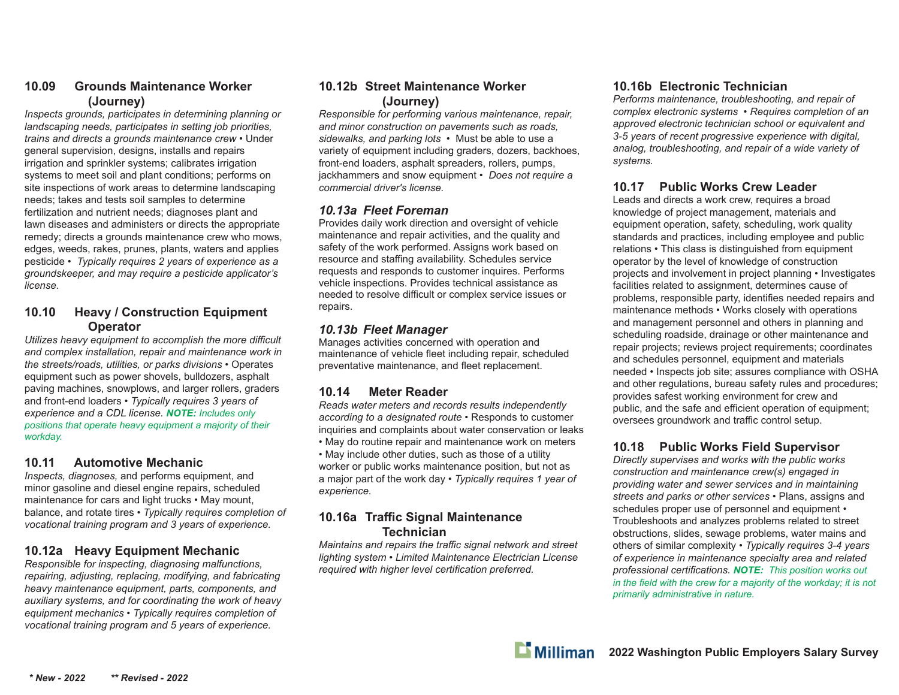#### **10.09 Grounds Maintenance Worker (Journey)**

*Inspects grounds, participates in determining planning or landscaping needs, participates in setting job priorities, trains and directs a grounds maintenance crew* • Under general supervision, designs, installs and repairs irrigation and sprinkler systems; calibrates irrigation systems to meet soil and plant conditions; performs on site inspections of work areas to determine landscaping needs; takes and tests soil samples to determine fertilization and nutrient needs; diagnoses plant and lawn diseases and administers or directs the appropriate remedy; directs a grounds maintenance crew who mows, edges, weeds, rakes, prunes, plants, waters and applies pesticide • *Typically requires 2 years of experience as a groundskeeper, and may require a pesticide applicator's license.*

#### **10.10 Heavy / Construction Equipment Operator**

*Utilizes heavy equipment to accomplish the more di ffi cult and complex installation, repair and maintenance work in the streets/roads, utilities, or parks divisions* • Operates equipment such as power shovels, bulldozers, asphalt paving machines, snowplows, and larger rollers, graders and front-end loaders • *Typically requires 3 years of experience and a CDL license. NOTE: Includes only positions that operate heavy equipment a majority of their workday.*

#### **10.11 Automotive Mechanic**

*Inspects, diagnoses,* and performs equipment, and minor gasoline and diesel engine repairs, scheduled maintenance for cars and light trucks • May mount, balance, and rotate tires • *Typically requires completion of vocational training program and 3 years of experience.*

# **10.12a Heavy Equipment Mechanic**

*Responsible for inspecting, diagnosing malfunctions, repairing, adjusting, replacing, modifying, and fabricating heavy maintenance equipment, parts, components, and auxiliary systems, and for coordinating the work of heavy equipment mechanics* • *Typically requires completion of vocational training program and 5 years of experience.*

#### **10.12b Street Maintenance Worker (Journey)**

*Responsible for performing various maintenance, repair, and minor construction on pavements such as roads, sidewalks, and parking lots* • Must be able to use a variety of equipment including graders, dozers, backhoes, front-end loaders, asphalt spreaders, rollers, pumps, jackhammers and snow equipment • *Does not require a commercial driver's license.*

#### *10.13a Fleet Foreman*

Provides daily work direction and oversight of vehicle maintenance and repair activities, and the quality and safety of the work performed. Assigns work based on resource and staffing availability. Schedules service requests and responds to customer inquires. Performs vehicle inspections. Provides technical assistance as needed to resolve difficult or complex service issues or repairs.

#### *10.13b Fleet Manager*

Manages activities concerned with operation and maintenance of vehicle fleet including repair, scheduled preventative maintenance, and fleet replacement.

# **10.14 Meter Reader**

*Reads water meters and records results independently according to a designated route* • Responds to customer inquiries and complaints about water conservation or leaks • May do routine repair and maintenance work on meters

• May include other duties, such as those of a utility worker or public works maintenance position, but not as a major part of the work day • *Typically requires 1 year of experience.*

# **10.16a Tra ffi c Signal Maintenance Technician**

*Maintains and repairs the tra ffi c signal network and street lighting system • Limited Maintenance Electrician License required with higher level certification preferred.* 

# **10.16b Electronic Technician**

*Performs maintenance, troubleshooting, and repair of complex electronic systems • Requires completion of an approved electronic technician school or equivalent and 3-5 years of recent progressive experience with digital, analog, troubleshooting, and repair of a wide variety of systems.*

# **10.17 Public Works Crew Leader**

Leads and directs a work crew, requires a broad knowledge of project management, materials and equipment operation, safety, scheduling, work quality standards and practices, including employee and public relations *•* This class is distinguished from equipment operator by the level of knowledge of construction projects and involvement in project planning *•* Investigates facilities related to assignment, determines cause of problems, responsible party, identifies needed repairs and maintenance methods *•* Works closely with operations and management personnel and others in planning and scheduling roadside, drainage or other maintenance and repair projects; reviews project requirements; coordinates and schedules personnel, equipment and materials needed *•* Inspects job site; assures compliance with OSHA and other regulations, bureau safety rules and procedures; provides safest working environment for crew and public, and the safe and efficient operation of equipment; oversees groundwork and traffic control setup.

# **10.18 Public Works Field Supervisor**

*Directly supervises and works with the public works construction and maintenance crew(s) engaged in providing water and sewer services and in maintaining streets and parks or other services •* Plans, assigns and schedules proper use of personnel and equipment *•*  Troubleshoots and analyzes problems related to street obstructions, slides, sewage problems, water mains and others of similar complexity *• Typically requires 3-4 years of experience in maintenance specialty area and related professional certifi cations. NOTE: This position works out in the field with the crew for a majority of the workday; it is not primarily administrative in nature.*

 $\mathbf{L}$  Milliman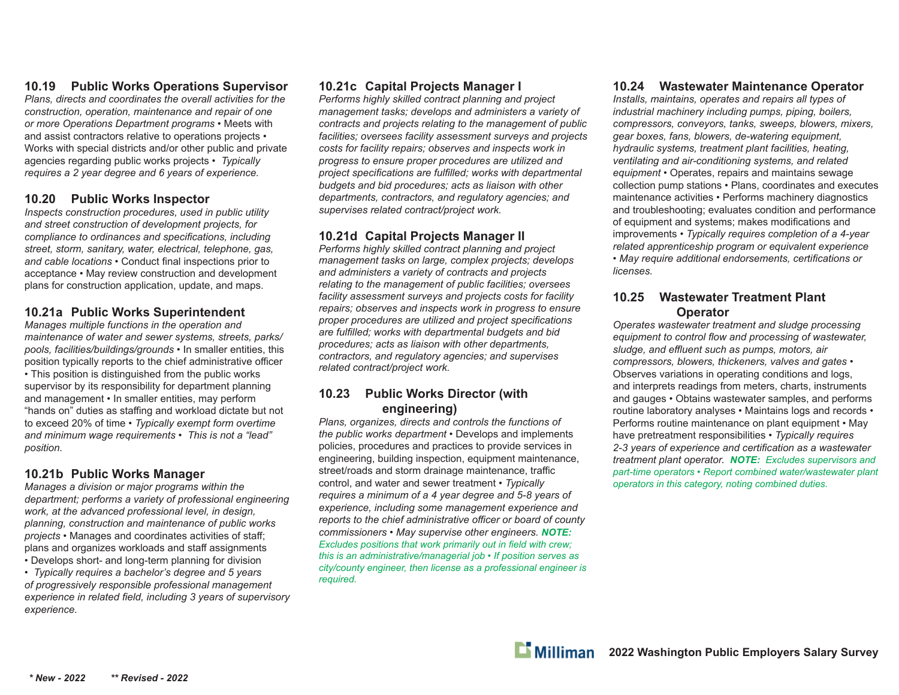#### **10.19 Public Works Operations Supervisor**

*Plans, directs and coordinates the overall activities for the construction, operation, maintenance and repair of one or more Operations Department programs •* Meets with and assist contractors relative to operations projects *•*  Works with special districts and/or other public and private agencies regarding public works projects *• Typically requires a 2 year degree and 6 years of experience.*

# **10.20 Public Works Inspector**

*Inspects construction procedures, used in public utility and street construction of development projects, for compliance to ordinances and specifications, including street, storm, sanitary, water, electrical, telephone, gas,*  and cable locations • Conduct final inspections prior to acceptance *•* May review construction and development plans for construction application, update, and maps.

# **10.21a Public Works Superintendent**

*Manages multiple functions in the operation and maintenance of water and sewer systems, streets, parks/ pools, facilities/buildings/grounds •* In smaller entities, this position typically reports to the chief administrative officer *•* This position is distinguished from the public works supervisor by its responsibility for department planning and management *•* In smaller entities, may perform "hands on" duties as sta ffi ng and workload dictate but not to exceed 20% of time *• Typically exempt form overtime and minimum wage requirements • This is not a "lead" position.*

#### **10.21b Public Works Manager**

*Manages a division or major programs within the department; performs a variety of professional engineering work, at the advanced professional level, in design, planning, construction and maintenance of public works projects •* Manages and coordinates activities of sta ff ; plans and organizes workloads and sta ff assignments *•* Develops short- and long-term planning for division

*• Typically requires a bachelor's degree and 5 years of progressively responsible professional management*  experience in related field, including 3 years of supervisory *experience.*

# **10.21c Capital Projects Manager I**

*Performs highly skilled contract planning and project management tasks; develops and administers a variety of contracts and projects relating to the management of public facilities; oversees facility assessment surveys and projects costs for facility repairs; observes and inspects work in progress to ensure proper procedures are utilized and*  project specifications are fulfilled; works with departmental *budgets and bid procedures; acts as liaison with other departments, contractors, and regulatory agencies; and supervises related contract/project work.*

# **10.21d Capital Projects Manager II**

*Performs highly skilled contract planning and project management tasks on large, complex projects; develops and administers a variety of contracts and projects relating to the management of public facilities; oversees facility assessment surveys and projects costs for facility repairs; observes and inspects work in progress to ensure proper procedures are utilized and project specifications* are fulfilled; works with departmental budgets and bid *procedures; acts as liaison with other departments, contractors, and regulatory agencies; and supervises related contract/project work.*

# **10.23 Public Works Director (with engineering)**

*Plans, organizes, directs and controls the functions of the public works department •* Develops and implements policies, procedures and practices to provide services in engineering, building inspection, equipment maintenance, street/roads and storm drainage maintenance, traffic control, and water and sewer treatment *• Typically requires a minimum of a 4 year degree and 5-8 years of experience, including some management experience and reports to the chief administrative o ffi cer or board of county commissioners • May supervise other engineers. NOTE: Excludes positions that work primarily out in field with crew; this is an administrative/managerial job • If position serves as city/county engineer, then license as a professional engineer is required.*

# **10.24 Wastewater Maintenance Operator**

*Installs, maintains, operates and repairs all types of industrial machinery including pumps, piping, boilers, compressors, conveyors, tanks, sweeps, blowers, mixers, gear boxes, fans, blowers, de-watering equipment, hydraulic systems, treatment plant facilities, heating, ventilating and air-conditioning systems, and related equipment •* Operates, repairs and maintains sewage collection pump stations *•* Plans, coordinates and executes maintenance activities *•* Performs machinery diagnostics and troubleshooting; evaluates condition and performance of equipment and systems; makes modifications and improvements *• Typically requires completion of a 4-year related apprenticeship program or equivalent experience*  • May require additional endorsements, certifications or *licenses.*

#### **10.25 Wastewater Treatment Plant Operator**

*Operates wastewater treatment and sludge processing*  equipment to control flow and processing of wastewater, *sludge, and e ffl uent such as pumps, motors, air compressors, blowers, thickeners, valves and gates •*  Observes variations in operating conditions and logs, and interprets readings from meters, charts, instruments and gauges *•* Obtains wastewater samples, and performs routine laboratory analyses *•* Maintains logs and records *•*  Performs routine maintenance on plant equipment *•* May have pretreatment responsibilities *• Typically requires*  2-3 years of experience and certification as a wastewater *treatment plant operator. NOTE: Excludes supervisors and part-time operators • Report combined water/wastewater plant operators in this category, noting combined duties.*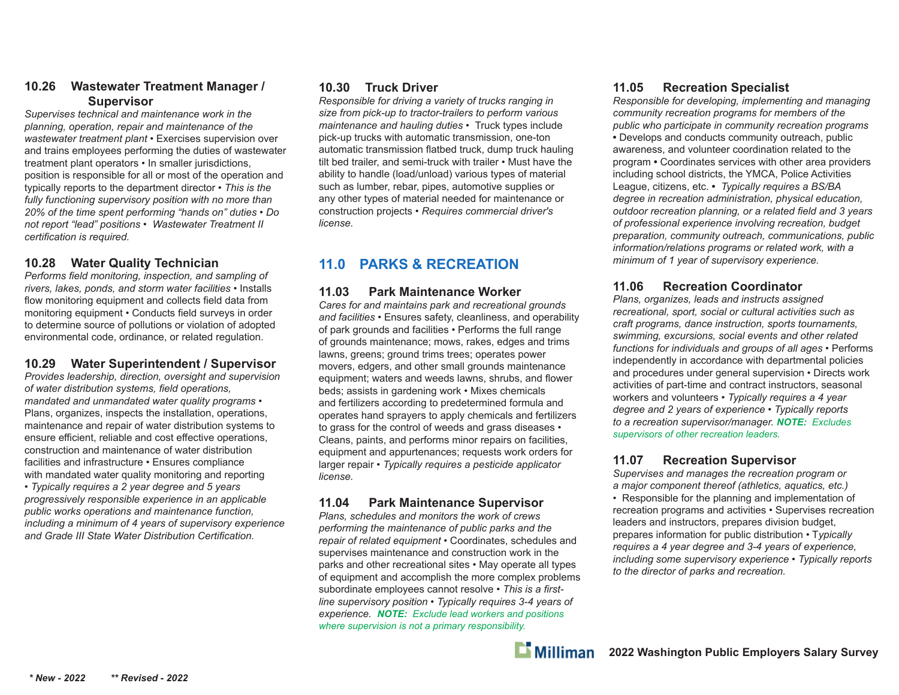#### **10.26 Wastewater Treatment Manager / Supervisor**

*Supervises technical and maintenance work in the planning, operation, repair and maintenance of the wastewater treatment plant •* Exercises supervision over and trains employees performing the duties of wastewater treatment plant operators *•* In smaller jurisdictions, position is responsible for all or most of the operation and typically reports to the department director *• This is the fully functioning supervisory position with no more than 20% of the time spent performing "hands on" duties • Do not report "lead" positions • Wastewater Treatment II certification is required.* 

# **10.28 Water Quality Technician**

*Performs field monitoring, inspection, and sampling of rivers, lakes, ponds, and storm water facilities •* Installs flow monitoring equipment and collects field data from monitoring equipment • Conducts field surveys in order to determine source of pollutions or violation of adopted environmental code, ordinance, or related regulation.

# **10.29 Water Superintendent / Supervisor**

*Provides leadership, direction, oversight and supervision of water distribution systems, field operations, mandated and unmandated water quality programs •*  Plans, organizes, inspects the installation, operations, maintenance and repair of water distribution systems to ensure efficient, reliable and cost effective operations, construction and maintenance of water distribution facilities and infrastructure *•* Ensures compliance with mandated water quality monitoring and reporting *• Typically requires a 2 year degree and 5 years progressively responsible experience in an applicable public works operations and maintenance function, including a minimum of 4 years of supervisory experience*  and Grade *III State Water Distribution Certification*.

#### **10.30 Truck Driver**

*Responsible for driving a variety of trucks ranging in size from pick-up to tractor-trailers to perform various maintenance and hauling duties •* Truck types include pick-up trucks with automatic transmission, one-ton automatic transmission flatbed truck, dump truck hauling tilt bed trailer, and semi-truck with trailer *•* Must have the ability to handle (load/unload) various types of material such as lumber, rebar, pipes, automotive supplies or any other types of material needed for maintenance or construction projects *• Requires commercial driver's license.*

# **11.0 PARKS & RECREATION**

# **11.03 Park Maintenance Worker**

*Cares for and maintains park and recreational grounds and facilities* • Ensures safety, cleanliness, and operability of park grounds and facilities • Performs the full range of grounds maintenance; mows, rakes, edges and trims lawns, greens; ground trims trees; operates power movers, edgers, and other small grounds maintenance equipment; waters and weeds lawns, shrubs, and flower beds; assists in gardening work • Mixes chemicals and fertilizers according to predetermined formula and operates hand sprayers to apply chemicals and fertilizers to grass for the control of weeds and grass diseases • Cleans, paints, and performs minor repairs on facilities, equipment and appurtenances; requests work orders for larger repair • *Typically requires a pesticide applicator license.*

#### **11.04 Park Maintenance Supervisor**

*Plans, schedules and monitors the work of crews performing the maintenance of public parks and the repair of related equipment* • Coordinates, schedules and supervises maintenance and construction work in the parks and other recreational sites • May operate all types of equipment and accomplish the more complex problems subordinate employees cannot resolve • This is a first*line supervisory position* • *Typically requires 3-4 years of experience. NOTE: Exclude lead workers and positions where supervision is not a primary responsibility.*

# **11.05 Recreation Specialist**

*Responsible for developing, implementing and managing community recreation programs for members of the public who participate in community recreation programs* **•** Develops and conducts community outreach, public awareness, and volunteer coordination related to the program **•** Coordinates services with other area providers including school districts, the YMCA, Police Activities League, citizens, etc. **•** *Typically requires a BS/BA degree in recreation administration, physical education,*  outdoor recreation planning, or a related field and 3 years *of professional experience involving recreation, budget preparation, community outreach, communications, public information/relations programs or related work, with a minimum of 1 year of supervisory experience.* 

# **11.06 Recreation Coordinator**

*Plans, organizes, leads and instructs assigned recreational, sport, social or cultural activities such as craft programs, dance instruction, sports tournaments, swimming, excursions, social events and other related functions for individuals and groups of all ages* • Performs independently in accordance with departmental policies and procedures under general supervision • Directs work activities of part-time and contract instructors, seasonal workers and volunteers • *Typically requires a 4 year degree and 2 years of experience* • *Typically reports to a recreation supervisor/manager. NOTE: Excludes supervisors of other recreation leaders.*

#### **11.07 Recreation Supervisor**

*Supervises and manages the recreation program or a major component thereof (athletics, aquatics, etc.)*

• Responsible for the planning and implementation of recreation programs and activities • Supervises recreation leaders and instructors, prepares division budget, prepares information for public distribution • T*ypically requires a 4 year degree and 3-4 years of experience, including some supervisory experience* • *Typically reports to the director of parks and recreation.*

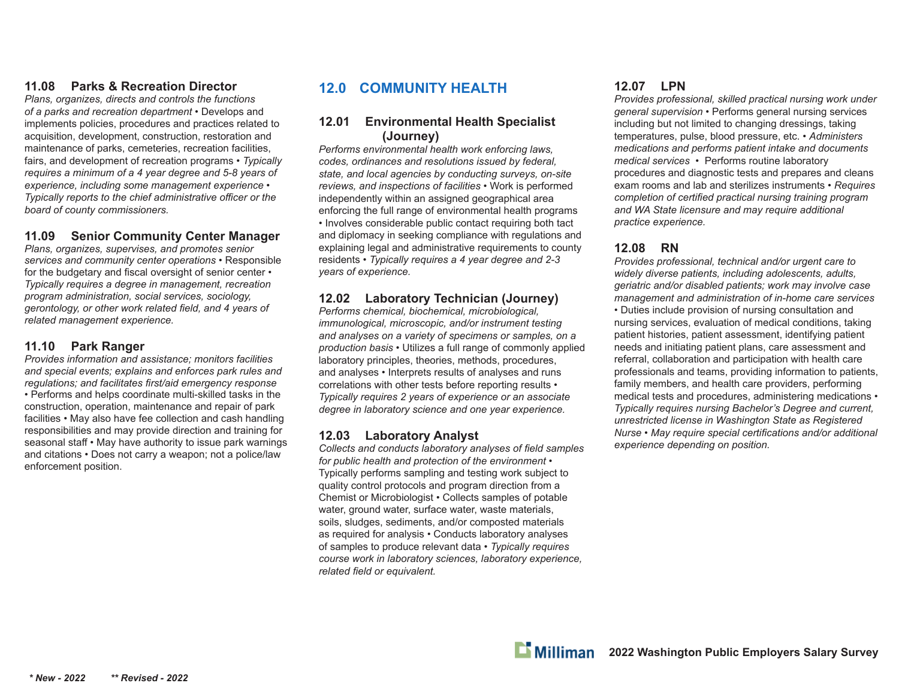# **11.08 Parks & Recreation Director**

*Plans, organizes, directs and controls the functions of a parks and recreation department* • Develops and implements policies, procedures and practices related to acquisition, development, construction, restoration and maintenance of parks, cemeteries, recreation facilities, fairs, and development of recreation programs • *Typically requires a minimum of a 4 year degree and 5-8 years of experience, including some management experience • Typically reports to the chief administrative officer or the board of county commissioners.*

#### **11.09 Senior Community Center Manager**

*Plans, organizes, supervises, and promotes senior services and community center operations* • Responsible for the budgetary and fiscal oversight of senior center • *Typically requires a degree in management, recreation program administration, social services, sociology, gerontology, or other work related field, and 4 years of related management experience.*

#### **11.10 Park Ranger**

*Provides information and assistance; monitors facilities and special events; explains and enforces park rules and regulations; and facilitates fi rst/aid emergency response*  • Performs and helps coordinate multi-skilled tasks in the construction, operation, maintenance and repair of park facilities • May also have fee collection and cash handling responsibilities and may provide direction and training for seasonal staff • May have authority to issue park warnings and citations • Does not carry a weapon; not a police/law enforcement position.

# **12.0 COMMUNITY HEALTH**

#### **12.01 Environmental Health Specialist (Journey)**

*Performs environmental health work enforcing laws, codes, ordinances and resolutions issued by federal, state, and local agencies by conducting surveys, on-site reviews, and inspections of facilities* • Work is performed independently within an assigned geographical area enforcing the full range of environmental health programs • Involves considerable public contact requiring both tact and diplomacy in seeking compliance with regulations and explaining legal and administrative requirements to county residents • *Typically requires a 4 year degree and 2-3 years of experience.*

# **12.02 Laboratory Technician (Journey)**

*Performs chemical, biochemical, microbiological, immunological, microscopic, and/or instrument testing and analyses on a variety of specimens or samples, on a production basis* • Utilizes a full range of commonly applied laboratory principles, theories, methods, procedures, and analyses • Interprets results of analyses and runs correlations with other tests before reporting results • *Typically requires 2 years of experience or an associate degree in laboratory science and one year experience.*

#### **12.03 Laboratory Analyst**

Collects and conducts *laboratory analyses of field samples for public health and protection of the environment* • Typically performs sampling and testing work subject to quality control protocols and program direction from a Chemist or Microbiologist • Collects samples of potable water, ground water, surface water, waste materials, soils, sludges, sediments, and/or composted materials as required for analysis • Conducts laboratory analyses of samples to produce relevant data • *Typically requires course work in laboratory sciences, laboratory experience, related field or equivalent.* 

# **12.07 LPN**

*Provides professional, skilled practical nursing work under general supervision* • Performs general nursing services including but not limited to changing dressings, taking temperatures, pulse, blood pressure, etc. • *Administers medications and performs patient intake and documents medical services •* Performs routine laboratory procedures and diagnostic tests and prepares and cleans exam rooms and lab and sterilizes instruments • *Requires completion of certified practical nursing training program and WA State licensure and may require additional practice experience.*

# **12.08 RN**

*Provides professional, technical and/or urgent care to widely diverse patients, including adolescents, adults, geriatric and/or disabled patients; work may involve case management and administration of in-home care services*  • Duties include provision of nursing consultation and nursing services, evaluation of medical conditions, taking patient histories, patient assessment, identifying patient needs and initiating patient plans, care assessment and referral, collaboration and participation with health care professionals and teams, providing information to patients, family members, and health care providers, performing medical tests and procedures, administering medications • *Typically requires nursing Bachelor's Degree and current, unrestricted license in Washington State as Registered Nurse* • May require special certifications and/or additional *experience depending on position.*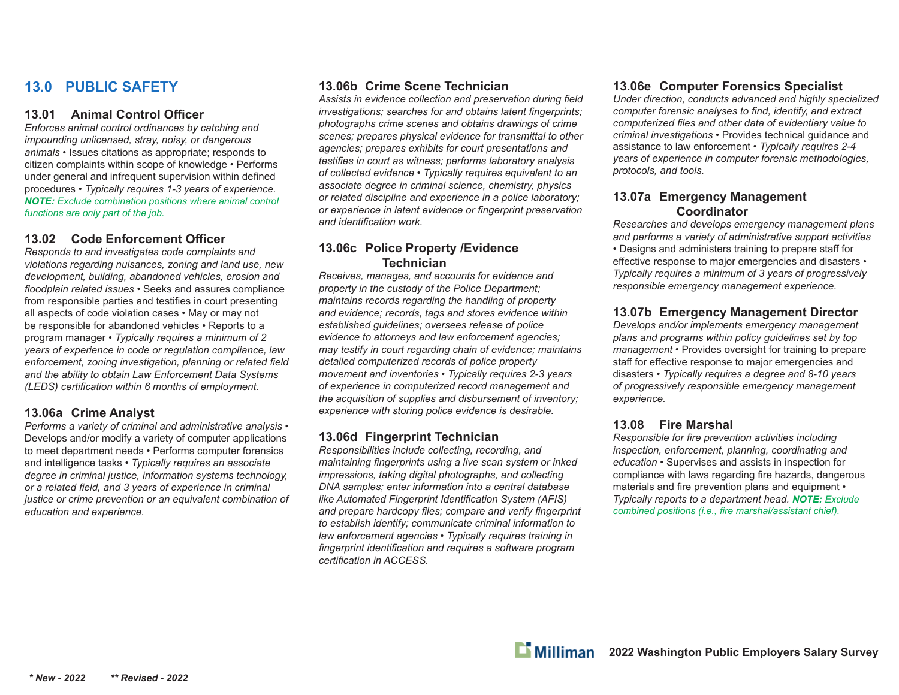# **13.0 PUBLIC SAFETY**

#### **13.01 Animal Control Offi cer**

*Enforces animal control ordinances by catching and impounding unlicensed, stray, noisy, or dangerous animals* • Issues citations as appropriate; responds to citizen complaints within scope of knowledge • Performs under general and infrequent supervision within defined procedures • *Typically requires 1-3 years of experience. NOTE: Exclude combination positions where animal control functions are only part of the job.*

#### **13.02 Code Enforcement Offi cer**

*Responds to and investigates code complaints and violations regarding nuisances, zoning and land use, new development, building, abandoned vehicles, erosion and fl oodplain related issues* • Seeks and assures compliance from responsible parties and testifies in court presenting all aspects of code violation cases • May or may not be responsible for abandoned vehicles • Reports to a program manager • *Typically requires a minimum of 2 years of experience in code or regulation compliance, law enforcement, zoning investigation, planning or related field and the ability to obtain Law Enforcement Data Systems (LEDS)* certification within 6 months of employment.

#### **13.06a Crime Analyst**

*Performs a variety of criminal and administrative analysis* • Develops and/or modify a variety of computer applications to meet department needs • Performs computer forensics and intelligence tasks • *Typically requires an associate degree in criminal justice, information systems technology, or a related fi eld, and 3 years of experience in criminal justice or crime prevention or an equivalent combination of education and experience.*

#### **13.06b Crime Scene Technician**

Assists in evidence collection and preservation during field *investigations; searches for and obtains latent fingerprints; photographs crime scenes and obtains drawings of crime scenes; prepares physical evidence for transmittal to other agencies; prepares exhibits for court presentations and testifies in court as witness; performs laboratory analysis of collected evidence* • *Typically requires equivalent to an associate degree in criminal science, chemistry, physics or related discipline and experience in a police laboratory; or experience in latent evidence or fi ngerprint preservation*  and *identification* work.

#### **13.06c Police Property /Evidence Technician**

*Receives, manages, and accounts for evidence and property in the custody of the Police Department; maintains records regarding the handling of property and evidence; records, tags and stores evidence within established guidelines; oversees release of police evidence to attorneys and law enforcement agencies; may testify in court regarding chain of evidence; maintains detailed computerized records of police property movement and inventories • Typically requires 2-3 years of experience in computerized record management and the acquisition of supplies and disbursement of inventory; experience with storing police evidence is desirable.*

#### **13.06d Fingerprint Technician**

*Responsibilities include collecting, recording, and maintaining fingerprints using a live scan system or inked impressions, taking digital photographs, and collecting DNA samples; enter information into a central database like Automated Fingerprint Identification System (AFIS)* and prepare hardcopy files; compare and verify fingerprint *to establish identify; communicate criminal information to law enforcement agencies • Typically requires training in*  fingerprint identification and requires a software program *certifi cation in ACCESS.*

#### **13.06e Computer Forensics Specialist**

*Under direction, conducts advanced and highly specialized computer forensic analyses to find, identify, and extract computerized fi les and other data of evidentiary value to criminal investigations* • Provides technical guidance and assistance to law enforcement • *Typically requires 2-4 years of experience in computer forensic methodologies, protocols, and tools.*

#### **13.07a Emergency Management Coordinator**

*Researches and develops emergency management plans and performs a variety of administrative support activities* • Designs and administers training to prepare staff for effective response to major emergencies and disasters • *Typically requires a minimum of 3 years of progressively responsible emergency management experience.*

# **13.07b Emergency Management Director**

*Develops and/or implements emergency management plans and programs within policy guidelines set by top management* • Provides oversight for training to prepare staff for effective response to major emergencies and disasters • *Typically requires a degree and 8-10 years of progressively responsible emergency management experience.*

#### **13.08 Fire Marshal**

*Responsible for fire prevention activities including inspection, enforcement, planning, coordinating and education* • Supervises and assists in inspection for compliance with laws regarding fire hazards, dangerous materials and fire prevention plans and equipment • *Typically reports to a department head. NOTE: Exclude combined positions (i.e., fire marshal/assistant chief).*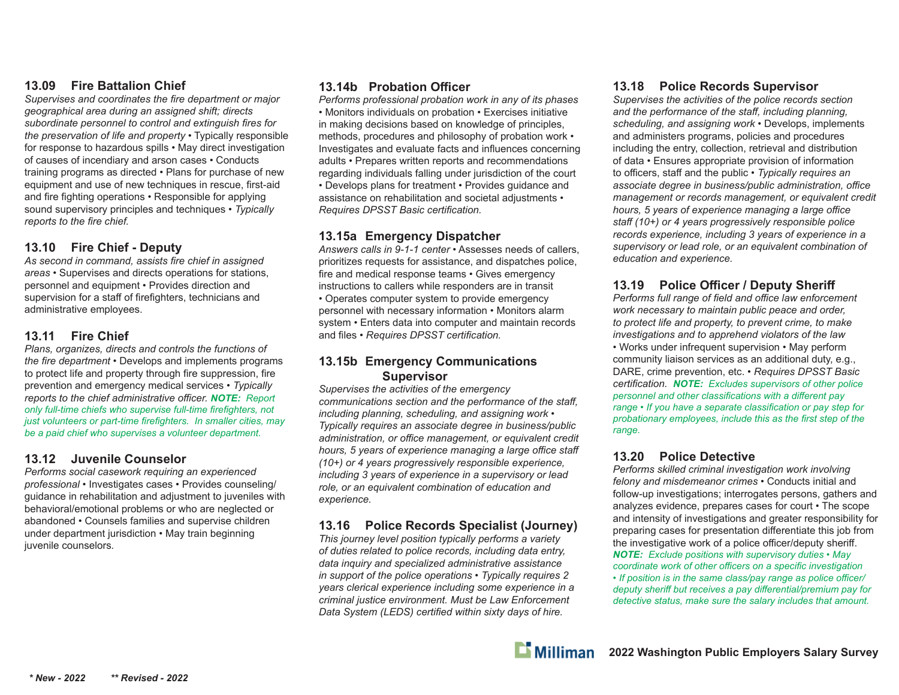#### **13.09 Fire Battalion Chief**

Supervises and coordinates the fire department or major *geographical area during an assigned shift; directs*  subordinate personnel to control and extinguish fires for *the preservation of life and property* • Typically responsible for response to hazardous spills • May direct investigation of causes of incendiary and arson cases • Conducts training programs as directed • Plans for purchase of new equipment and use of new techniques in rescue, first-aid and fire fighting operations • Responsible for applying sound supervisory principles and techniques • *Typically reports to the fire chief.* 

# **13.10 Fire Chief - Deputy**

As second in command, assists fire chief in assigned *areas* • Supervises and directs operations for stations, personnel and equipment • Provides direction and supervision for a staff of firefighters, technicians and administrative employees.

#### **13.11 Fire Chief**

*Plans, organizes, directs and controls the functions of the fire department* • Develops and implements programs to protect life and property through fire suppression, fire prevention and emergency medical services • *Typically reports to the chief administrative o ffi cer. NOTE: Report only full-time chiefs who supervise full-time fi refi ghters, not just volunteers or part-time firefighters. In smaller cities, may be a paid chief who supervises a volunteer department.*

#### **13.12 Juvenile Counselor**

*Performs social casework requiring an experienced professional* • Investigates cases • Provides counseling/ guidance in rehabilitation and adjustment to juveniles with behavioral/emotional problems or who are neglected or abandoned • Counsels families and supervise children under department jurisdiction • May train beginning juvenile counselors*.*

# **13.14b Probation Offi cer**

*Performs professional probation work in any of its phases •* Monitors individuals on probation • Exercises initiative in making decisions based on knowledge of principles, methods, procedures and philosophy of probation work • Investigates and evaluate facts and influences concerning adults • Prepares written reports and recommendations regarding individuals falling under jurisdiction of the court • Develops plans for treatment • Provides guidance and assistance on rehabilitation and societal adjustments • *Requires DPSST Basic certifi cation.*

#### **13.15a Emergency Dispatcher**

*Answers calls in 9-1-1 center* • Assesses needs of callers, prioritizes requests for assistance, and dispatches police, fire and medical response teams • Gives emergency instructions to callers while responders are in transit • Operates computer system to provide emergency personnel with necessary information • Monitors alarm system • Enters data into computer and maintain records and files • *Requires DPSST certification.* 

#### **13.15b Emergency Communications Supervisor**

*Supervises the activities of the emergency communications section and the performance of the sta ff , including planning, scheduling, and assigning work* • *Typically requires an associate degree in business/public administration, or o ffi ce management, or equivalent credit hours, 5 years of experience managing a large o ffi ce sta ff (10+) or 4 years progressively responsible experience, including 3 years of experience in a supervisory or lead role, or an equivalent combination of education and experience.*

#### **13.16 Police Records Specialist (Journey)**

*This journey level position typically performs a variety of duties related to police records, including data entry, data inquiry and specialized administrative assistance in support of the police operations* • *Typically requires 2 years clerical experience including some experience in a criminal justice environment. Must be Law Enforcement Data System (LEDS) certified within sixty days of hire.* 

#### **13.18 Police Records Supervisor**

*Supervises the activities of the police records section and the performance of the sta ff , including planning, scheduling, and assigning work* • Develops, implements and administers programs, policies and procedures including the entry, collection, retrieval and distribution of data • Ensures appropriate provision of information to officers, staff and the public • *Typically requires an associate degree in business/public administration, o ffi ce management or records management, or equivalent credit hours, 5 years of experience managing a large o ffi ce staff (10+) or 4 years progressively responsible police records experience, including 3 years of experience in a supervisory or lead role, or an equivalent combination of education and experience.*

# **13.19 Police Offi cer / Deputy Sheri ff**

*Performs full range of fi eld and o ffi ce law enforcement work necessary to maintain public peace and order, to protect life and property, to prevent crime, to make investigations and to apprehend violators of the law* • Works under infrequent supervision • May perform community liaison services as an additional duty, e.g., DARE, crime prevention, etc. • *Requires DPSST Basic certifi cation. NOTE: Excludes supervisors of other police personnel and other classifications with a different pay range • If you have a separate classification or pay step for probationary employees, include this as the first step of the range.*

#### **13.20 Police Detective**

*Performs skilled criminal investigation work involving felony and misdemeanor crimes* • Conducts initial and follow-up investigations; interrogates persons, gathers and analyzes evidence, prepares cases for court • The scope and intensity of investigations and greater responsibility for preparing cases for presentation differentiate this job from the investigative work of a police officer/deputy sheriff. *NOTE: Exclude positions with supervisory duties • May coordinate work of other offi cers on a specifi c investigation • If position is in the same class/pay range as police o ffi cer/ deputy sheriff but receives a pay diff erential/premium pay for detective status, make sure the salary includes that amount.*